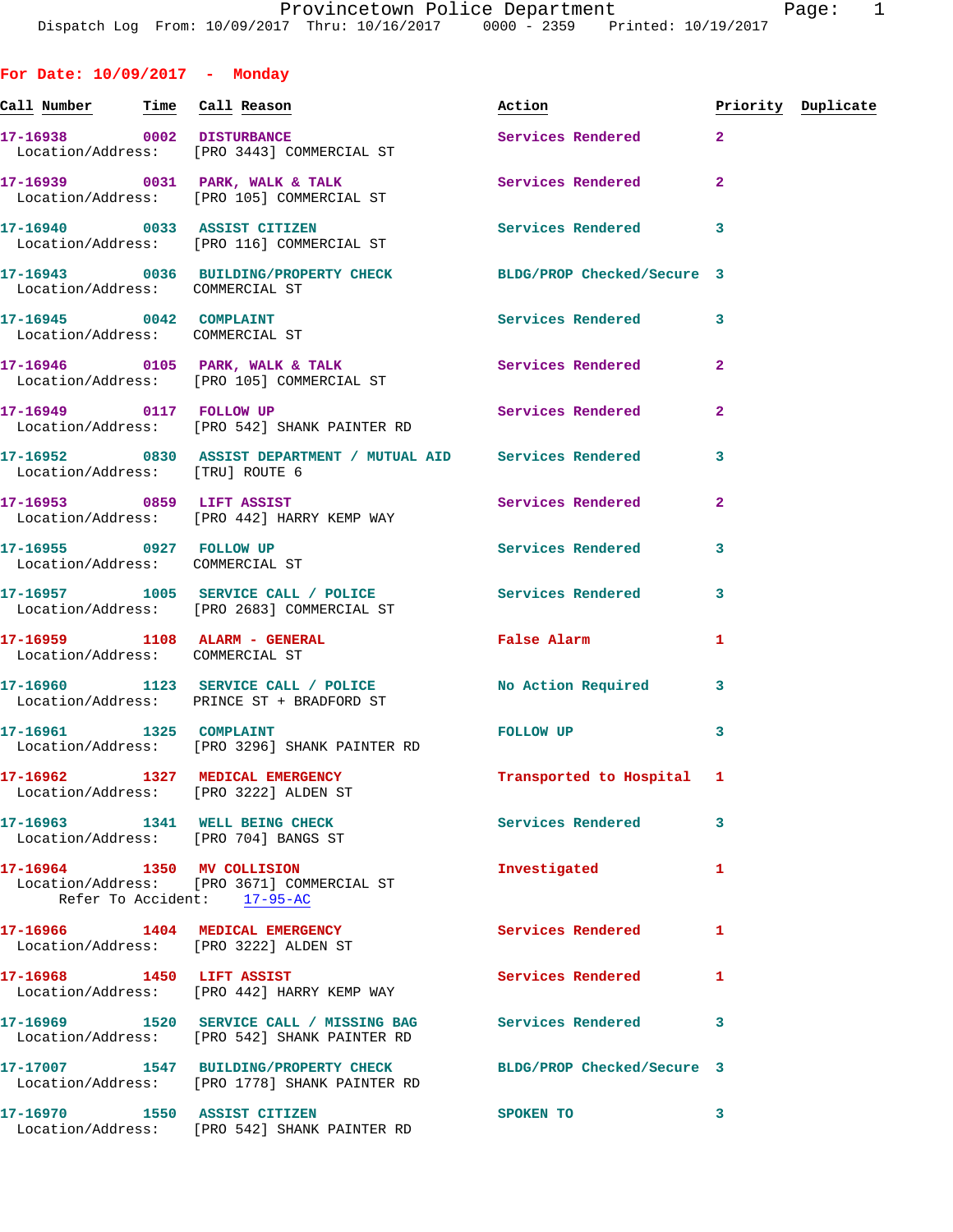**For Date: 10/09/2017 - Monday** Call Number **Time** Call Reason **Reason Burner** Action **Priority Duplicate 17-16938 0002 DISTURBANCE Services Rendered 2**  Location/Address: [PRO 3443] COMMERCIAL ST **17-16939 0031 PARK, WALK & TALK Services Rendered 2**  Location/Address: [PRO 105] COMMERCIAL ST **17-16940 0033 ASSIST CITIZEN Services Rendered 3**  Location/Address: [PRO 116] COMMERCIAL ST **17-16943 0036 BUILDING/PROPERTY CHECK BLDG/PROP Checked/Secure 3**  Location/Address: COMMERCIAL ST **17-16945 0042 COMPLAINT Services Rendered 3**  Location/Address: COMMERCIAL ST **17-16946 0105 PARK, WALK & TALK Services Rendered 2**  Location/Address: [PRO 105] COMMERCIAL ST **17-16949 0117 FOLLOW UP Services Rendered 2**  Location/Address: [PRO 542] SHANK PAINTER RD **17-16952 0830 ASSIST DEPARTMENT / MUTUAL AID Services Rendered 3**  Location/Address: [TRU] ROUTE 6 **17-16953 0859 LIFT ASSIST Services Rendered 2**  Location/Address: [PRO 442] HARRY KEMP WAY **17-16955 0927 FOLLOW UP Services Rendered 3**  Location/Address: COMMERCIAL ST **17-16957 1005 SERVICE CALL / POLICE Services Rendered 3**  Location/Address: [PRO 2683] COMMERCIAL ST **17-16959 1108 ALARM - GENERAL False Alarm 1**  Location/Address: COMMERCIAL ST **17-16960 1123 SERVICE CALL / POLICE No Action Required 3**  Location/Address: PRINCE ST + BRADFORD ST 17-16961 1325 COMPLAINT **FOLLOW UP** 3 Location/Address: [PRO 3296] SHANK PAINTER RD **17-16962 1327 MEDICAL EMERGENCY Transported to Hospital 1**  Location/Address: [PRO 3222] ALDEN ST **17-16963 1341 WELL BEING CHECK Services Rendered 3**  Location/Address: [PRO 704] BANGS ST **17-16964 1350 MV COLLISION Investigated 1**  Location/Address: [PRO 3671] COMMERCIAL ST Refer To Accident: 17-95-AC **17-16966 1404 MEDICAL EMERGENCY Services Rendered 1**  Location/Address: [PRO 3222] ALDEN ST **17-16968 1450 LIFT ASSIST Services Rendered 1**  Location/Address: [PRO 442] HARRY KEMP WAY **17-16969 1520 SERVICE CALL / MISSING BAG Services Rendered 3**  Location/Address: [PRO 542] SHANK PAINTER RD

**17-17007 1547 BUILDING/PROPERTY CHECK BLDG/PROP Checked/Secure 3**  Location/Address: [PRO 1778] SHANK PAINTER RD **17-16970 1550 ASSIST CITIZEN SPOKEN TO 3**  Location/Address: [PRO 542] SHANK PAINTER RD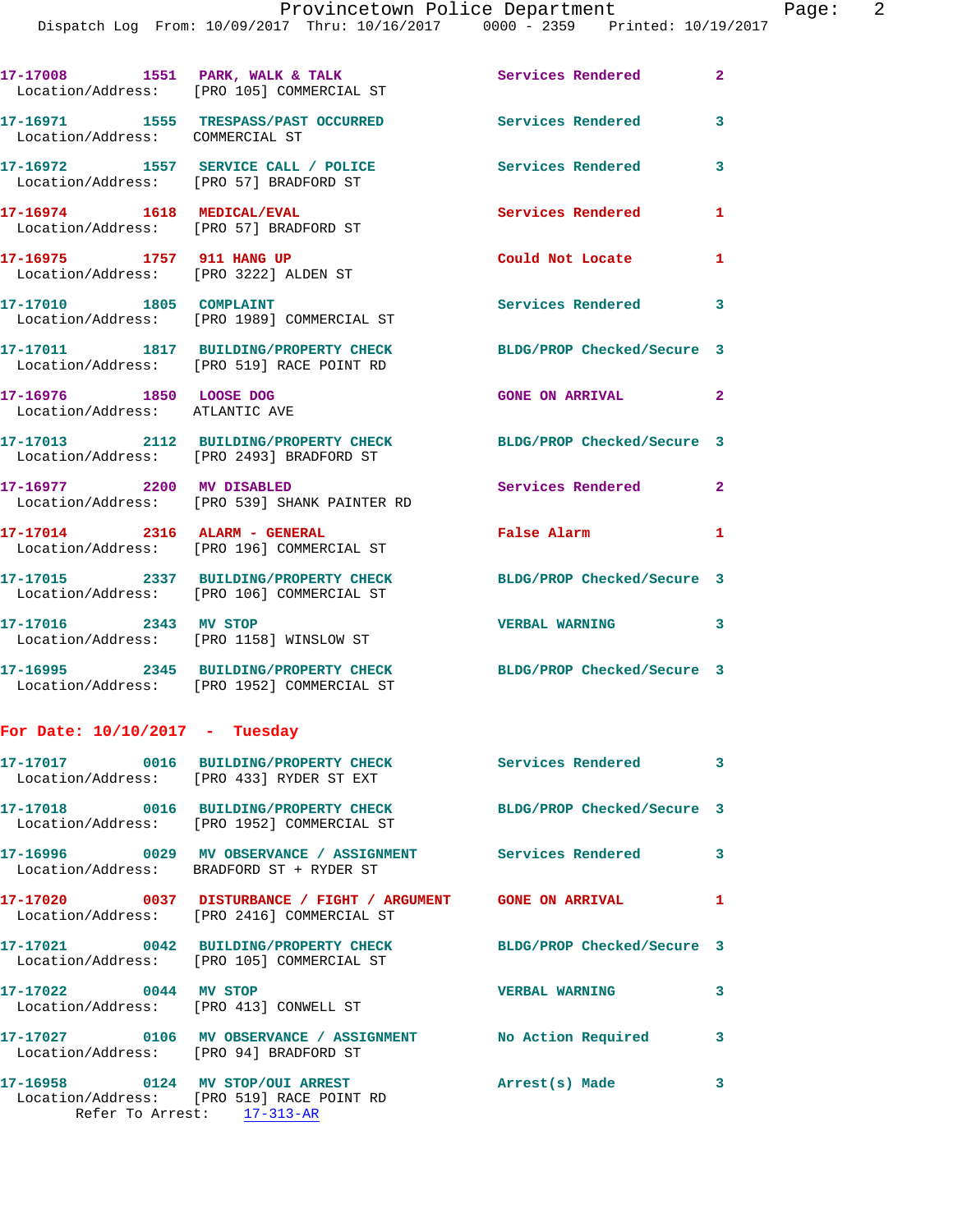17-17008 1551 PARK, WALK & TALK **Services Rendered** 2 Location/Address: [PRO 105] COMMERCIAL ST **17-16971 1555 TRESPASS/PAST OCCURRED Services Rendered 3**  Location/Address: COMMERCIAL ST **17-16972 1557 SERVICE CALL / POLICE Services Rendered 3**  Location/Address: [PRO 57] BRADFORD ST **17-16974 1618 MEDICAL/EVAL Services Rendered 1**  Location/Address: [PRO 57] BRADFORD ST **17-16975 1757 911 HANG UP Could Not Locate 1**  Location/Address: [PRO 3222] ALDEN ST 17-17010 1805 COMPLAINT **17-17010** Services Rendered 3 Location/Address: [PRO 1989] COMMERCIAL ST **17-17011 1817 BUILDING/PROPERTY CHECK BLDG/PROP Checked/Secure 3**  Location/Address: [PRO 519] RACE POINT RD **17-16976 1850 LOOSE DOG GONE ON ARRIVAL 2**  Location/Address: ATLANTIC AVE **17-17013 2112 BUILDING/PROPERTY CHECK BLDG/PROP Checked/Secure 3**  Location/Address: [PRO 2493] BRADFORD ST **17-16977 2200 MV DISABLED Services Rendered 2**  Location/Address: [PRO 539] SHANK PAINTER RD **17-17014 2316 ALARM - GENERAL False Alarm 1**  Location/Address: [PRO 196] COMMERCIAL ST **17-17015 2337 BUILDING/PROPERTY CHECK BLDG/PROP Checked/Secure 3**  Location/Address: [PRO 106] COMMERCIAL ST **17-17016 2343 MV STOP VERBAL WARNING 3**  Location/Address: [PRO 1158] WINSLOW ST **17-16995 2345 BUILDING/PROPERTY CHECK BLDG/PROP Checked/Secure 3**  Location/Address: [PRO 1952] COMMERCIAL ST **For Date: 10/10/2017 - Tuesday 17-17017 0016 BUILDING/PROPERTY CHECK Services Rendered 3**  Location/Address: [PRO 433] RYDER ST EXT **17-17018 0016 BUILDING/PROPERTY CHECK BLDG/PROP Checked/Secure 3**  Location/Address: [PRO 1952] COMMERCIAL ST **17-16996 0029 MV OBSERVANCE / ASSIGNMENT Services Rendered 3**  Location/Address: BRADFORD ST + RYDER ST

**17-17020 0037 DISTURBANCE / FIGHT / ARGUMENT GONE ON ARRIVAL 1**  Location/Address: [PRO 2416] COMMERCIAL ST

**17-17021 0042 BUILDING/PROPERTY CHECK BLDG/PROP Checked/Secure 3**  Location/Address: [PRO 105] COMMERCIAL ST

**17-17022 0044 MV STOP VERBAL WARNING 3**  Location/Address: [PRO 413] CONWELL ST

**17-17027 0106 MV OBSERVANCE / ASSIGNMENT No Action Required 3**  Location/Address: [PRO 94] BRADFORD ST

**17-16958 0124 MV STOP/OUI ARREST Arrest(s) Made 3**  Location/Address: [PRO 519] RACE POINT RD Refer To Arrest: 17-313-AR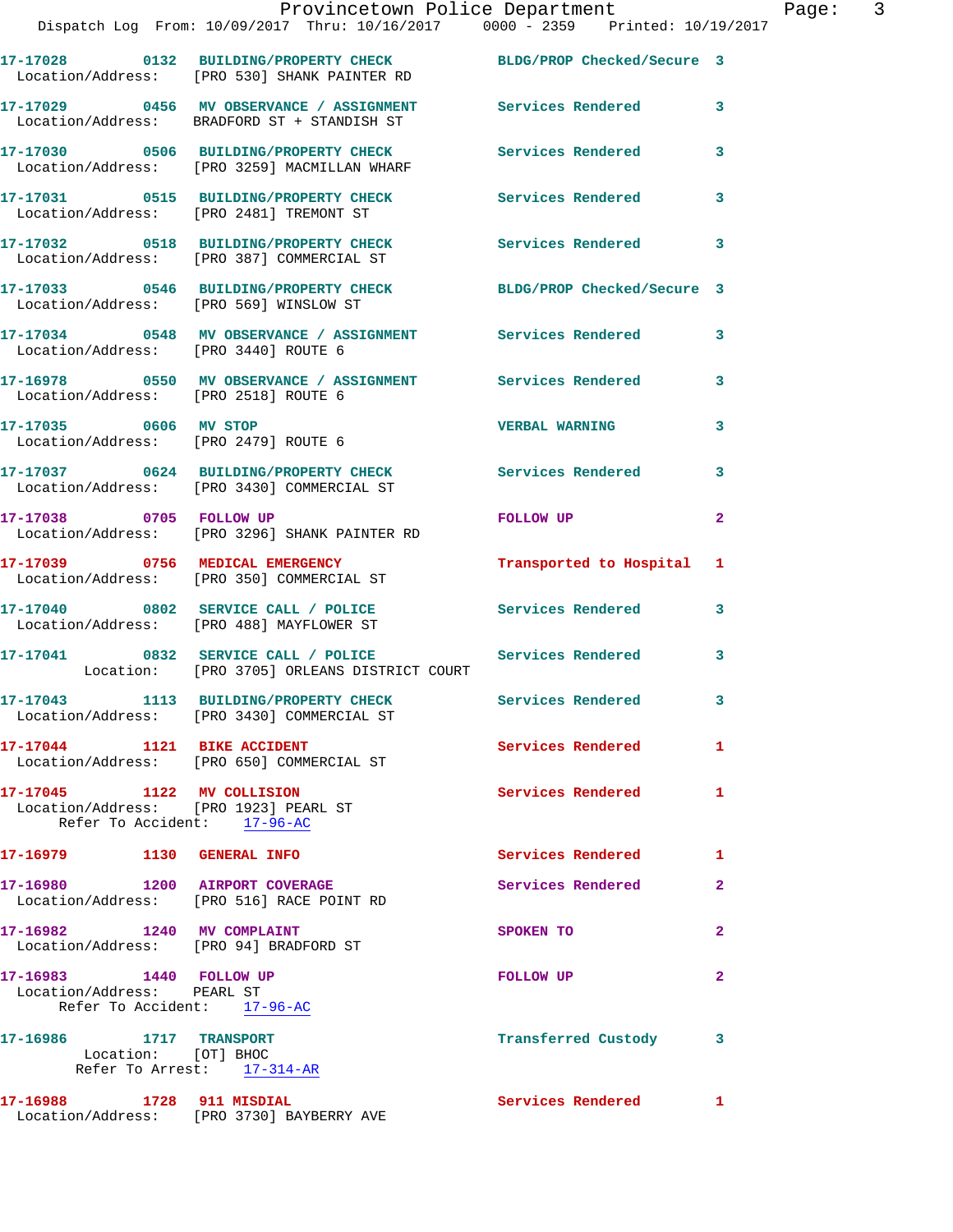|                                                       | 17-17028 0132 BUILDING/PROPERTY CHECK<br>Location/Address: [PRO 530] SHANK PAINTER RD   | BLDG/PROP Checked/Secure 3           |                            |
|-------------------------------------------------------|-----------------------------------------------------------------------------------------|--------------------------------------|----------------------------|
|                                                       | 17-17029 0456 MV OBSERVANCE / ASSIGNMENT<br>Location/Address: BRADFORD ST + STANDISH ST | <b>Services Rendered</b>             | 3                          |
|                                                       | 17-17030 0506 BUILDING/PROPERTY CHECK<br>Location/Address: [PRO 3259] MACMILLAN WHARF   | <b>Services Rendered</b>             | 3                          |
|                                                       | 17-17031 0515 BUILDING/PROPERTY CHECK<br>Location/Address: [PRO 2481] TREMONT ST        | Services Rendered                    | $\mathbf{3}$               |
|                                                       | 17-17032 0518 BUILDING/PROPERTY CHECK<br>Location/Address: [PRO 387] COMMERCIAL ST      | Services Rendered                    | $\overline{\phantom{a}}$ 3 |
|                                                       | 17-17033 0546 BUILDING/PROPERTY CHECK<br>Location/Address: [PRO 569] WINSLOW ST         | BLDG/PROP Checked/Secure 3           |                            |
| Location/Address: [PRO 3440] ROUTE 6                  | 17-17034 0548 MV OBSERVANCE / ASSIGNMENT Services Rendered                              |                                      | 3                          |
| Location/Address: [PRO 2518] ROUTE 6                  | 17-16978 0550 MV OBSERVANCE / ASSIGNMENT Services Rendered                              |                                      | 3                          |
| 17-17035 0606 MV STOP                                 | Location/Address: [PRO 2479] ROUTE 6                                                    | <b>VERBAL WARNING</b>                | 3                          |
|                                                       | 17-17037 0624 BUILDING/PROPERTY CHECK<br>Location/Address: [PRO 3430] COMMERCIAL ST     | <b>Services Rendered</b>             | 3                          |
| 17-17038 0705 FOLLOW UP                               | Location/Address: [PRO 3296] SHANK PAINTER RD                                           | FOLLOW UP                            | $\overline{2}$             |
|                                                       | 17-17039 0756 MEDICAL EMERGENCY<br>Location/Address: [PRO 350] COMMERCIAL ST            | Transported to Hospital              | 1                          |
|                                                       | 17-17040 0802 SERVICE CALL / POLICE<br>Location/Address: [PRO 488] MAYFLOWER ST         | Services Rendered                    | 3                          |
|                                                       | 17-17041 0832 SERVICE CALL / POLICE<br>Location: [PRO 3705] ORLEANS DISTRICT COURT      | Services Rendered                    | 3                          |
|                                                       |                                                                                         |                                      |                            |
|                                                       | 17-17043 1113 BUILDING/PROPERTY CHECK<br>Location/Address: [PRO 3430] COMMERCIAL ST     | Services Rendered<br>$\sim$ $\sim$ 3 |                            |
| 17-17044 1121 BIKE ACCIDENT                           | Location/Address: [PRO 650] COMMERCIAL ST                                               | <b>Services Rendered</b>             | $\mathbf{1}$               |
| Location/Address: [PRO 1923] PEARL ST                 | Refer To Accident: 17-96-AC                                                             | Services Rendered                    | $\mathbf{1}$               |
|                                                       |                                                                                         |                                      |                            |
| 17-16979 1130 GENERAL INFO                            |                                                                                         | Services Rendered                    | $\blacksquare$             |
| 17-16980 1200 AIRPORT COVERAGE                        | Location/Address: [PRO 516] RACE POINT RD                                               | Services Rendered                    | $\mathbf{2}$               |
| 17-16982 1240 MV COMPLAINT                            | Location/Address: [PRO 94] BRADFORD ST                                                  | SPOKEN TO                            | $\mathbf{2}$               |
| 17-16983 1440 FOLLOW UP<br>Location/Address: PEARL ST | Refer To Accident: 17-96-AC                                                             | <b>FOLLOW UP</b>                     | $\mathbf{2}$               |
| 17-16986 1717 TRANSPORT<br>Location: [OT] BHOC        | Refer To Arrest: 17-314-AR                                                              | Transferred Custody 3                |                            |
| 17-16988 1728 911 MISDIAL                             | Location/Address: [PRO 3730] BAYBERRY AVE                                               | Services Rendered 1                  |                            |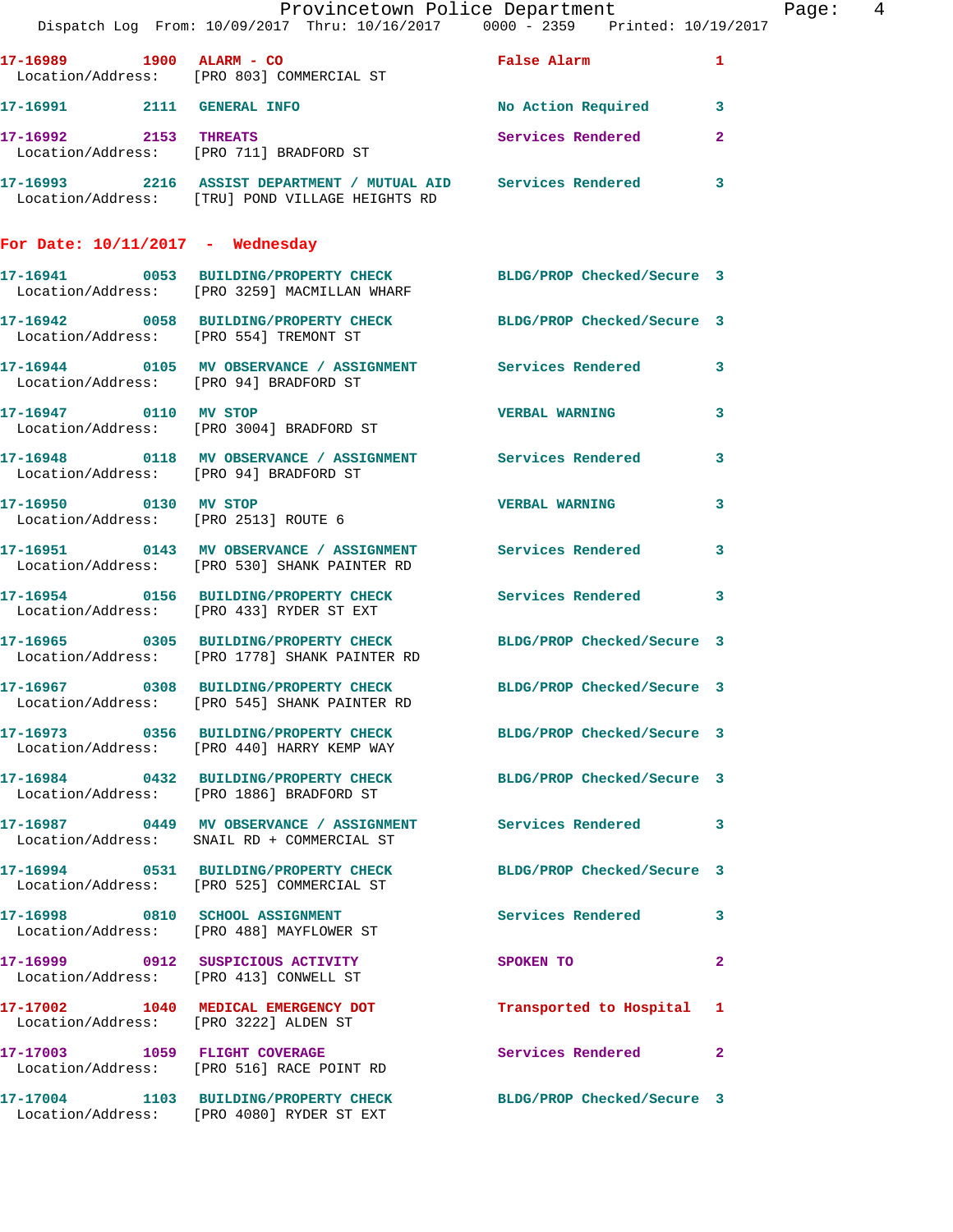|                                        | Provincetown Police Department<br>Dispatch Log From: 10/09/2017 Thru: 10/16/2017 0000 - 2359 Printed: 10/19/2017    |                           | Page: 4      |
|----------------------------------------|---------------------------------------------------------------------------------------------------------------------|---------------------------|--------------|
|                                        | 17-16989 1900 ALARM - CO<br>Location/Address: [PRO 803] COMMERCIAL ST                                               | False Alarm 1             |              |
|                                        | 17-16991 2111 GENERAL INFO                                                                                          | No Action Required 3      |              |
| 17-16992 2153 THREATS                  | Location/Address: [PRO 711] BRADFORD ST                                                                             | Services Rendered 2       |              |
|                                        | 17-16993 2216 ASSIST DEPARTMENT / MUTUAL AID Services Rendered 3<br>Location/Address: [TRU] POND VILLAGE HEIGHTS RD |                           |              |
| For Date: $10/11/2017$ - Wednesday     |                                                                                                                     |                           |              |
|                                        | 17-16941 0053 BUILDING/PROPERTY CHECK BLDG/PROP Checked/Secure 3<br>Location/Address: [PRO 3259] MACMILLAN WHARF    |                           |              |
|                                        | 17-16942 0058 BUILDING/PROPERTY CHECK BLDG/PROP Checked/Secure 3<br>Location/Address: [PRO 554] TREMONT ST          |                           |              |
| Location/Address: [PRO 94] BRADFORD ST | 17-16944 0105 MV OBSERVANCE / ASSIGNMENT Services Rendered 3                                                        |                           |              |
|                                        | 17-16947 0110 MV STOP<br>Location/Address: [PRO 3004] BRADFORD ST                                                   | <b>VERBAL WARNING</b>     | $\mathbf{3}$ |
| Location/Address: [PRO 94] BRADFORD ST | 17-16948 0118 MV OBSERVANCE / ASSIGNMENT Services Rendered 3                                                        |                           |              |
|                                        | 17-16950 0130 MV STOP<br>Location/Address: [PRO 2513] ROUTE 6                                                       | <b>VERBAL WARNING</b> 3   |              |
|                                        | 17-16951 0143 MV OBSERVANCE / ASSIGNMENT Services Rendered 3<br>Location/Address: [PRO 530] SHANK PAINTER RD        |                           |              |
|                                        | 17-16954 0156 BUILDING/PROPERTY CHECK Services Rendered 3<br>Location/Address: [PRO 433] RYDER ST EXT               |                           |              |
|                                        | 17-16965 0305 BUILDING/PROPERTY CHECK BLDG/PROP Checked/Secure 3<br>Location/Address: [PRO 1778] SHANK PAINTER RD   |                           |              |
|                                        | 17-16967 0308 BUILDING/PROPERTY CHECK BLDG/PROP Checked/Secure 3<br>Location/Address: [PRO 545] SHANK PAINTER RD    |                           |              |
|                                        | 17-16973 0356 BUILDING/PROPERTY CHECK BLDG/PROP Checked/Secure 3<br>Location/Address: [PRO 440] HARRY KEMP WAY      |                           |              |
|                                        | 17-16984 0432 BUILDING/PROPERTY CHECK BLDG/PROP Checked/Secure 3<br>Location/Address: [PRO 1886] BRADFORD ST        |                           |              |
|                                        | 17-16987 6949 MV OBSERVANCE / ASSIGNMENT Services Rendered 3<br>Location/Address: SNAIL RD + COMMERCIAL ST          |                           |              |
|                                        | 17-16994 0531 BUILDING/PROPERTY CHECK BLDG/PROP Checked/Secure 3<br>Location/Address: [PRO 525] COMMERCIAL ST       |                           |              |
|                                        | 17-16998 0810 SCHOOL ASSIGNMENT<br>Location/Address: [PRO 488] MAYFLOWER ST                                         | Services Rendered 3       |              |
|                                        | 17-16999 0912 SUSPICIOUS ACTIVITY<br>Location/Address: [PRO 413] CONWELL ST                                         | SPOKEN TO                 | $\mathbf{2}$ |
| Location/Address: [PRO 3222] ALDEN ST  | 17-17002 1040 MEDICAL EMERGENCY DOT                                                                                 | Transported to Hospital 1 |              |
|                                        | 17-17003 1059 FLIGHT COVERAGE<br>Location/Address: [PRO 516] RACE POINT RD                                          | Services Rendered 2       |              |
|                                        | 17-17004 1103 BUILDING/PROPERTY CHECK BLDG/PROP Checked/Secure 3<br>Location/Address: [PRO 4080] RYDER ST EXT       |                           |              |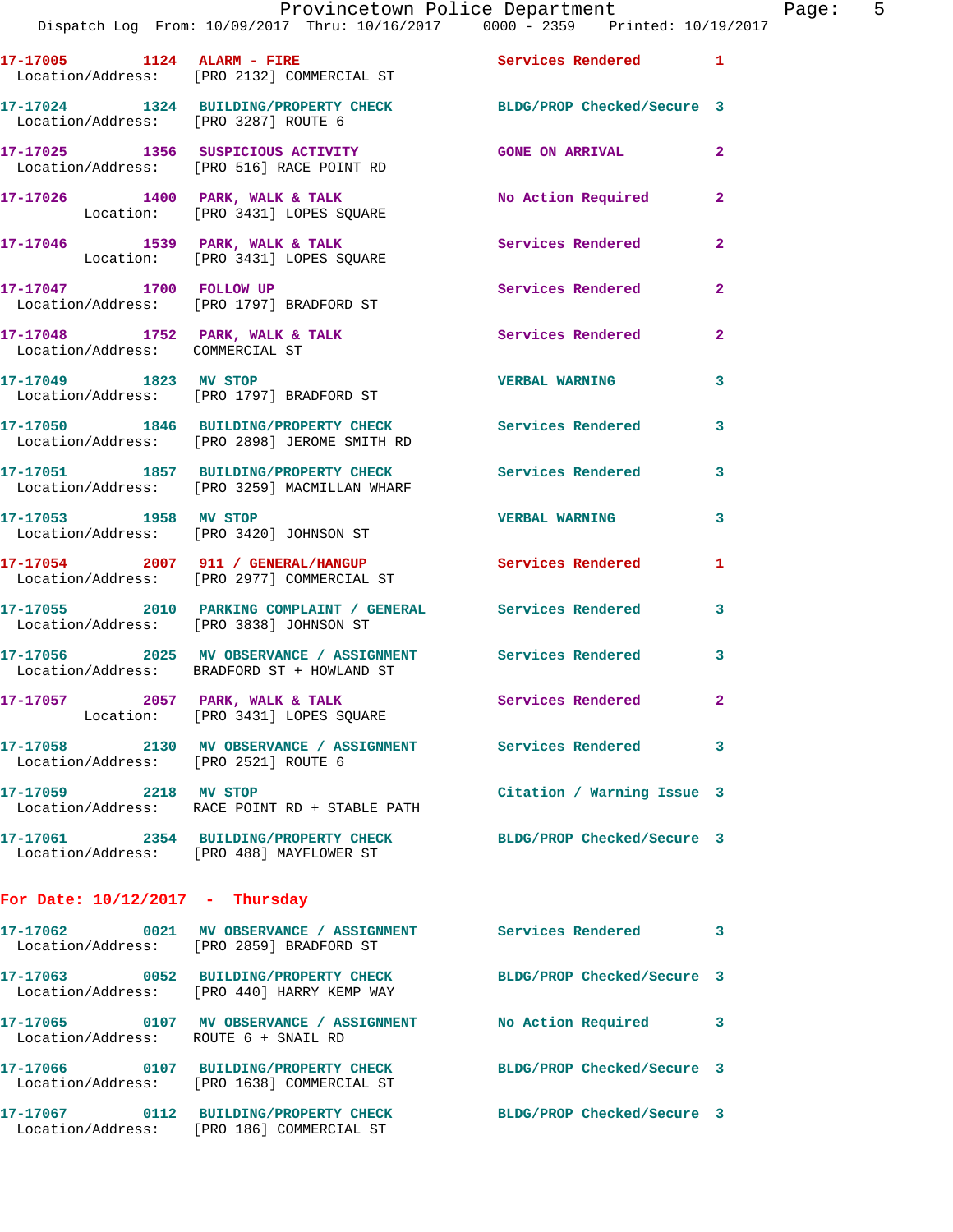Dispatch Log From: 10/09/2017 Thru: 10/16/2017 0000 - 2359 Printed: 10/19/2017

| 17-17005<br>1124<br>Location/Address: | ALARM - FIRE<br>[PRO 2132] COMMERCIAL ST                         | Services Rendered          |   |
|---------------------------------------|------------------------------------------------------------------|----------------------------|---|
| 17-17024<br>1324<br>Location/Address: | <b>BUILDING/PROPERTY CHECK</b><br>[PRO 3287] ROUTE 6             | BLDG/PROP Checked/Secure 3 |   |
| 17-17025<br>1356                      | SUSPICIOUS ACTIVITY<br>Location/Address: [PRO 516] RACE POINT RD | <b>GONE ON ARRIVAL</b>     | 2 |
| 17-17026<br>1400<br>Location:         | PARK, WALK & TALK<br>[PRO 3431] LOPES SOUARE                     | No Action Required         | 2 |
| 17-17046<br>1539                      | PARK, WALK & TALK                                                | Services Rendered          | 2 |

 Location: [PRO 3431] LOPES SQUARE **17-17047 1700 FOLLOW UP Services Rendered 2**  Location/Address: [PRO 1797] BRADFORD ST

17-17048 1752 PARK, WALK & TALK **Services Rendered** 2 Location/Address: COMMERCIAL ST

**17-17049 1823 MV STOP VERBAL WARNING 3**  Location/Address: [PRO 1797] BRADFORD ST

**17-17050 1846 BUILDING/PROPERTY CHECK Services Rendered 3**  Location/Address: [PRO 2898] JEROME SMITH RD

**17-17051 1857 BUILDING/PROPERTY CHECK Services Rendered 3**  Location/Address: [PRO 3259] MACMILLAN WHARF

**17-17053 1958 MV STOP VERBAL WARNING 3**  Location/Address: [PRO 3420] JOHNSON ST

**17-17054 2007 911 / GENERAL/HANGUP Services Rendered 1**  Location/Address: [PRO 2977] COMMERCIAL ST

**17-17055 2010 PARKING COMPLAINT / GENERAL Services Rendered 3**  Location/Address: [PRO 3838] JOHNSON ST

**17-17056 2025 MV OBSERVANCE / ASSIGNMENT Services Rendered 3**  Location/Address: BRADFORD ST + HOWLAND ST

17-17057 **2057** PARK, WALK & TALK **Services Rendered** 2

Location: [PRO 3431] LOPES SQUARE

**17-17058 2130 MV OBSERVANCE / ASSIGNMENT Services Rendered 3**  Location/Address: [PRO 2521] ROUTE 6

**17-17059 2218 MV STOP Citation / Warning Issue 3**  Location/Address: RACE POINT RD + STABLE PATH

**17-17061 2354 BUILDING/PROPERTY CHECK BLDG/PROP Checked/Secure 3**  Location/Address: [PRO 488] MAYFLOWER ST

## **For Date: 10/12/2017 - Thursday**

**17-17062 0021 MV OBSERVANCE / ASSIGNMENT Services Rendered 3**  Location/Address: [PRO 2859] BRADFORD ST **17-17063 0052 BUILDING/PROPERTY CHECK BLDG/PROP Checked/Secure 3**  Location/Address: [PRO 440] HARRY KEMP WAY **17-17065 0107 MV OBSERVANCE / ASSIGNMENT No Action Required 3**  Location/Address: ROUTE 6 + SNAIL RD **17-17066 0107 BUILDING/PROPERTY CHECK BLDG/PROP Checked/Secure 3**  Location/Address: [PRO 1638] COMMERCIAL ST **17-17067 0112 BUILDING/PROPERTY CHECK BLDG/PROP Checked/Secure 3**  Location/Address: [PRO 186] COMMERCIAL ST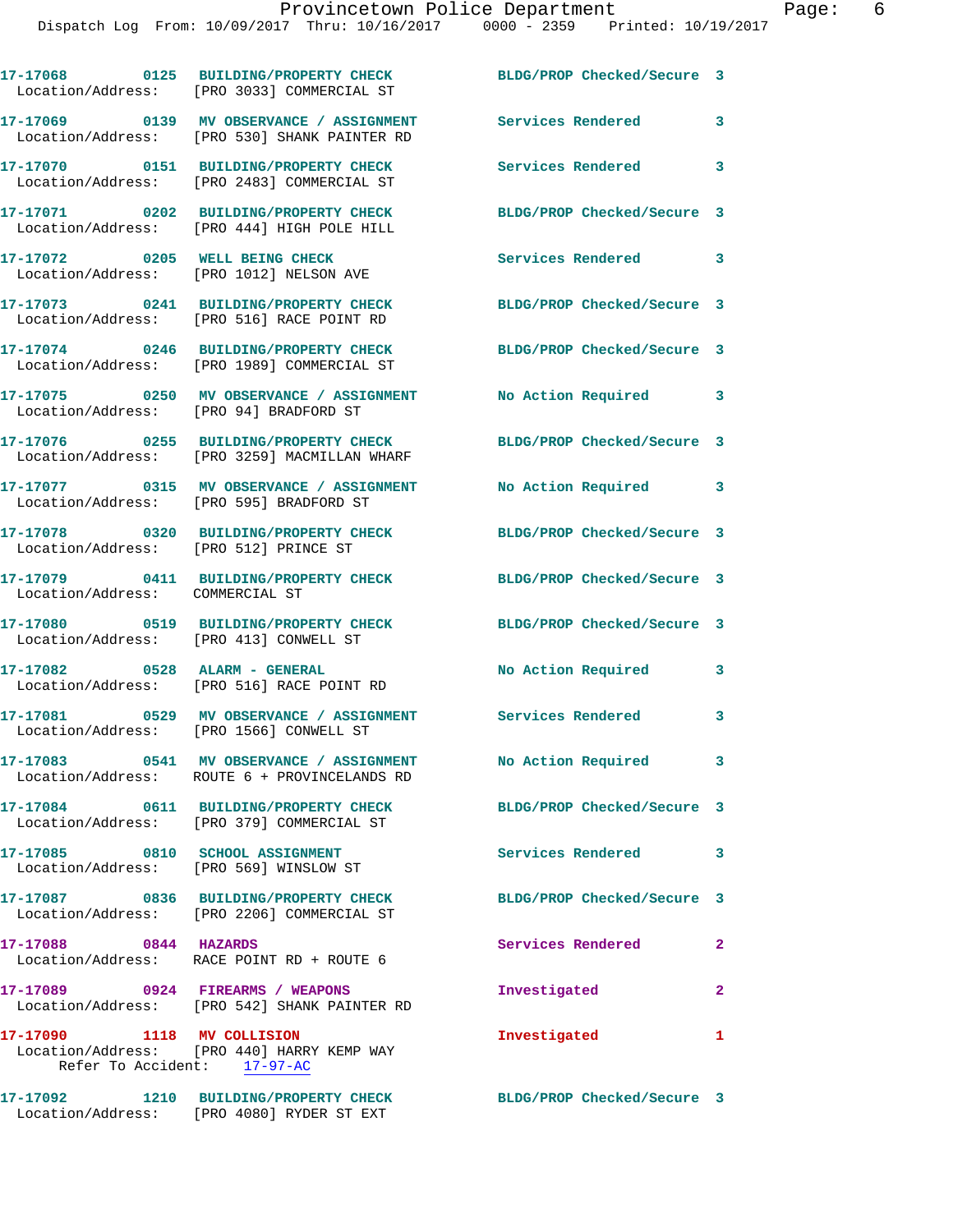|                                                           | 17-17068 0125 BUILDING/PROPERTY CHECK<br>Location/Address: [PRO 3033] COMMERCIAL ST      | BLDG/PROP Checked/Secure 3 |                |
|-----------------------------------------------------------|------------------------------------------------------------------------------------------|----------------------------|----------------|
|                                                           | 17-17069 0139 MV OBSERVANCE / ASSIGNMENT<br>Location/Address: [PRO 530] SHANK PAINTER RD | Services Rendered          | 3              |
|                                                           | 17-17070 0151 BUILDING/PROPERTY CHECK<br>Location/Address: [PRO 2483] COMMERCIAL ST      | Services Rendered          | 3              |
|                                                           | 17-17071 0202 BUILDING/PROPERTY CHECK<br>Location/Address: [PRO 444] HIGH POLE HILL      | BLDG/PROP Checked/Secure 3 |                |
| 17-17072 0205 WELL BEING CHECK                            | Location/Address: [PRO 1012] NELSON AVE                                                  | Services Rendered 3        |                |
|                                                           | 17-17073 0241 BUILDING/PROPERTY CHECK<br>Location/Address: [PRO 516] RACE POINT RD       | BLDG/PROP Checked/Secure 3 |                |
| Location/Address:                                         | 17-17074 0246 BUILDING/PROPERTY CHECK<br>[PRO 1989] COMMERCIAL ST                        | BLDG/PROP Checked/Secure 3 |                |
| Location/Address: [PRO 94] BRADFORD ST                    | 17-17075 0250 MV OBSERVANCE / ASSIGNMENT                                                 | No Action Required         | 3              |
| Location/Address:                                         | 17-17076 0255 BUILDING/PROPERTY CHECK<br>[PRO 3259] MACMILLAN WHARF                      | BLDG/PROP Checked/Secure 3 |                |
| Location/Address: [PRO 595] BRADFORD ST                   | 17-17077 0315 MV OBSERVANCE / ASSIGNMENT                                                 | No Action Required 3       |                |
| Location/Address: [PRO 512] PRINCE ST                     | 17-17078 0320 BUILDING/PROPERTY CHECK                                                    | BLDG/PROP Checked/Secure 3 |                |
| Location/Address: COMMERCIAL ST                           | 17-17079 0411 BUILDING/PROPERTY CHECK                                                    | BLDG/PROP Checked/Secure 3 |                |
| Location/Address: [PRO 413] CONWELL ST                    | 17-17080 0519 BUILDING/PROPERTY CHECK                                                    | BLDG/PROP Checked/Secure 3 |                |
| 17-17082 0528 ALARM - GENERAL                             | Location/Address: [PRO 516] RACE POINT RD                                                | No Action Required         | 3              |
| Location/Address: [PRO 1566] CONWELL ST                   | 17-17081 0529 MV OBSERVANCE / ASSIGNMENT                                                 | Services Rendered          | 3              |
|                                                           | 17-17083 0541 MV OBSERVANCE / ASSIGNMENT<br>Location/Address: ROUTE 6 + PROVINCELANDS RD | No Action Required 3       |                |
|                                                           | 17-17084 0611 BUILDING/PROPERTY CHECK<br>Location/Address: [PRO 379] COMMERCIAL ST       | BLDG/PROP Checked/Secure 3 |                |
| 17-17085 0810 SCHOOL ASSIGNMENT                           | Location/Address: [PRO 569] WINSLOW ST                                                   | Services Rendered          | 3              |
|                                                           | 17-17087 0836 BUILDING/PROPERTY CHECK<br>Location/Address: [PRO 2206] COMMERCIAL ST      | BLDG/PROP Checked/Secure 3 |                |
| 17-17088 0844 HAZARDS                                     | Location/Address: RACE POINT RD + ROUTE 6                                                | Services Rendered          | $\overline{2}$ |
|                                                           | 17-17089 0924 FIREARMS / WEAPONS<br>Location/Address: [PRO 542] SHANK PAINTER RD         | Investigated               | $\mathbf{2}$   |
| 17-17090 1118 MV COLLISION<br>Refer To Accident: 17-97-AC | Location/Address: [PRO 440] HARRY KEMP WAY                                               | Investigated               | 1              |
|                                                           | 17-17092 1210 BUILDING/PROPERTY CHECK                                                    | BLDG/PROP Checked/Secure 3 |                |

Location/Address: [PRO 4080] RYDER ST EXT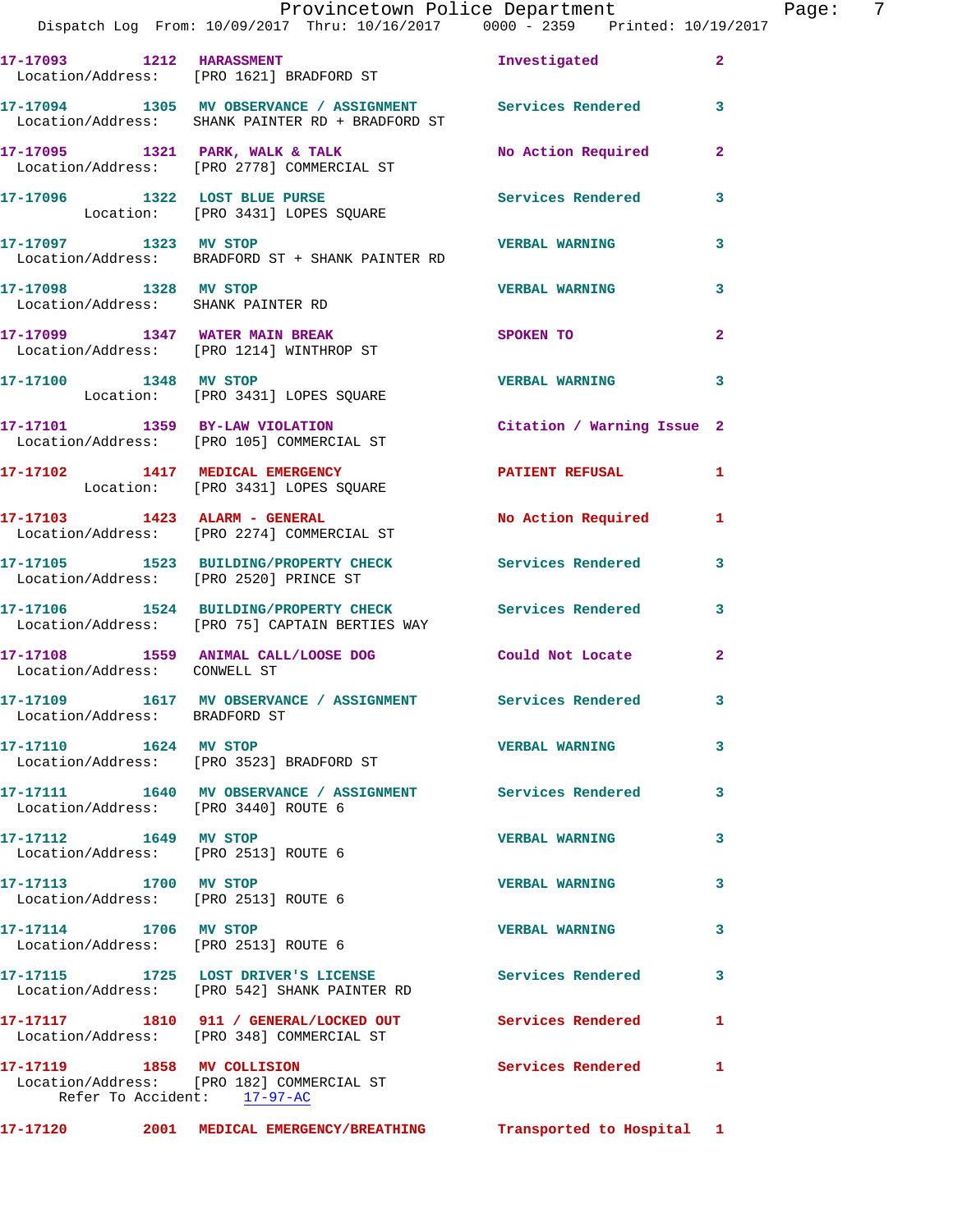|                                                               | Provincetown Police Department<br>Dispatch Log From: 10/09/2017 Thru: 10/16/2017 0000 - 2359 Printed: 10/19/2017 |                            |                         |
|---------------------------------------------------------------|------------------------------------------------------------------------------------------------------------------|----------------------------|-------------------------|
| 17-17093 1212 HARASSMENT                                      | Location/Address: [PRO 1621] BRADFORD ST                                                                         | Investigated               | $\mathbf{2}$            |
|                                                               | 17-17094 1305 MV OBSERVANCE / ASSIGNMENT Services Rendered<br>Location/Address: SHANK PAINTER RD + BRADFORD ST   |                            | 3                       |
|                                                               |                                                                                                                  | No Action Required         | $\mathbf{2}$            |
|                                                               | 17-17096 1322 LOST BLUE PURSE<br>Location: [PRO 3431] LOPES SQUARE                                               | Services Rendered          | 3                       |
| 17-17097 1323 MV STOP                                         | Location/Address: BRADFORD ST + SHANK PAINTER RD                                                                 | <b>VERBAL WARNING</b>      | 3                       |
| 17-17098 1328 MV STOP<br>Location/Address: SHANK PAINTER RD   |                                                                                                                  | <b>VERBAL WARNING</b>      | 3                       |
|                                                               | 17-17099 1347 WATER MAIN BREAK<br>Location/Address: [PRO 1214] WINTHROP ST                                       | <b>SPOKEN TO</b>           | $\overline{\mathbf{2}}$ |
|                                                               | 17-17100 1348 MV STOP<br>Location: [PRO 3431] LOPES SQUARE                                                       | <b>VERBAL WARNING</b>      | 3                       |
|                                                               | 17-17101 1359 BY-LAW VIOLATION<br>Location/Address: [PRO 105] COMMERCIAL ST                                      | Citation / Warning Issue 2 |                         |
|                                                               | 17-17102 1417 MEDICAL EMERGENCY<br>Location: [PRO 3431] LOPES SQUARE                                             | PATIENT REFUSAL            | 1                       |
| $17-17103$ 1423 ALARM - GENERAL                               | Location/Address: [PRO 2274] COMMERCIAL ST                                                                       | No Action Required         | 1                       |
|                                                               | 17-17105               1523      BUILDING/PROPERTY  CHECK<br>Location/Address:       [PRO  2520]  PRINCE  ST     | Services Rendered          | 3                       |
|                                                               | 17-17106 1524 BUILDING/PROPERTY CHECK Services Rendered<br>Location/Address: [PRO 75] CAPTAIN BERTIES WAY        |                            | 3                       |
| Location/Address: CONWELL ST                                  | 17-17108 1559 ANIMAL CALL/LOOSE DOG                                                                              | Could Not Locate           | $\overline{2}$          |
| Location/Address: BRADFORD ST                                 | 17-17109 1617 MV OBSERVANCE / ASSIGNMENT Services Rendered                                                       |                            |                         |
| 17-17110 1624 MV STOP                                         | Location/Address: [PRO 3523] BRADFORD ST                                                                         | <b>VERBAL WARNING</b>      | 3                       |
| Location/Address: [PRO 3440] ROUTE 6                          | 17-17111 1640 MV OBSERVANCE / ASSIGNMENT Services Rendered                                                       |                            | 3                       |
| 17-17112 1649 MV STOP<br>Location/Address: [PRO 2513] ROUTE 6 |                                                                                                                  | <b>VERBAL WARNING</b>      | 3                       |
| 17-17113 1700 MV STOP<br>Location/Address: [PRO 2513] ROUTE 6 |                                                                                                                  | <b>VERBAL WARNING</b>      | 3                       |
| 17-17114 1706 MV STOP<br>Location/Address: [PRO 2513] ROUTE 6 |                                                                                                                  | <b>VERBAL WARNING</b>      | 3                       |
|                                                               | 17-17115 1725 LOST DRIVER'S LICENSE<br>Location/Address: [PRO 542] SHANK PAINTER RD                              | Services Rendered          | 3                       |
|                                                               | 17-17117 1810 911 / GENERAL/LOCKED OUT Services Rendered<br>Location/Address: [PRO 348] COMMERCIAL ST            |                            | 1                       |
| 17-17119 1858 MV COLLISION<br>Refer To Accident: 17-97-AC     | Location/Address: [PRO 182] COMMERCIAL ST                                                                        | Services Rendered          | 1                       |

**17-17120 2001 MEDICAL EMERGENCY/BREATHING Transported to Hospital 1** 

Page:  $7^{17}$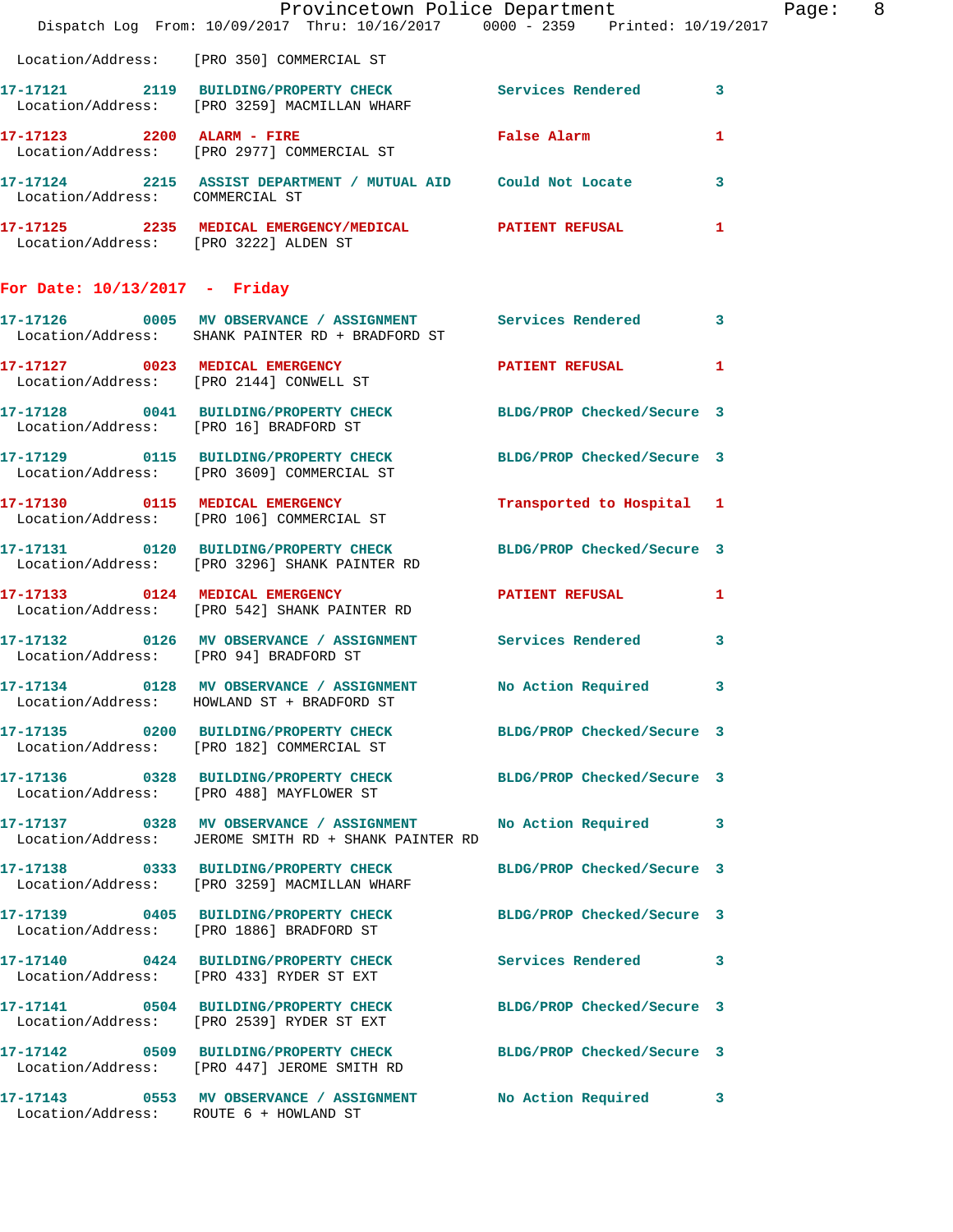|                                 | Dispatch Log From: 10/09/2017 Thru: 10/16/2017 0000 - 2359 Printed: 10/19/2017                                        | Provincetown Police Department | Page: 8 |
|---------------------------------|-----------------------------------------------------------------------------------------------------------------------|--------------------------------|---------|
|                                 | Location/Address: [PRO 350] COMMERCIAL ST                                                                             |                                |         |
|                                 | 17-17121 2119 BUILDING/PROPERTY CHECK Services Rendered 3<br>Location/Address: [PRO 3259] MACMILLAN WHARF             |                                |         |
|                                 | 17-17123 2200 ALARM - FIRE FRIE False Alarm<br>Location/Address: [PRO 2977] COMMERCIAL ST                             |                                | 1       |
| Location/Address: COMMERCIAL ST | 17-17124 2215 ASSIST DEPARTMENT / MUTUAL AID Could Not Locate 3                                                       |                                |         |
|                                 | 17-17125 2235 MEDICAL EMERGENCY/MEDICAL PATIENT REFUSAL<br>Location/Address: [PRO 3222] ALDEN ST                      |                                | 1       |
| For Date: $10/13/2017$ - Friday |                                                                                                                       |                                |         |
|                                 | 17-17126 0005 MV OBSERVANCE / ASSIGNMENT Services Rendered 3<br>Location/Address: SHANK PAINTER RD + BRADFORD ST      |                                |         |
|                                 | 17-17127 0023 MEDICAL EMERGENCY PATIENT REFUSAL 1<br>Location/Address: [PRO 2144] CONWELL ST                          |                                |         |
|                                 | 17-17128 0041 BUILDING/PROPERTY CHECK BLDG/PROP Checked/Secure 3<br>Location/Address: [PRO 16] BRADFORD ST            |                                |         |
|                                 | 17-17129 0115 BUILDING/PROPERTY CHECK BLDG/PROP Checked/Secure 3<br>Location/Address: [PRO 3609] COMMERCIAL ST        |                                |         |
|                                 | 17-17130 0115 MEDICAL EMERGENCY<br>Location/Address: [PRO 106] COMMERCIAL ST                                          | Transported to Hospital 1      |         |
|                                 | 17-17131 0120 BUILDING/PROPERTY CHECK BLDG/PROP Checked/Secure 3<br>Location/Address: [PRO 3296] SHANK PAINTER RD     |                                |         |
|                                 | 17-17133 0124 MEDICAL EMERGENCY PATIENT REFUSAL 1<br>Location/Address: [PRO 542] SHANK PAINTER RD                     |                                |         |
|                                 | 17-17132 0126 MV OBSERVANCE / ASSIGNMENT Services Rendered<br>Location/Address: [PRO 94] BRADFORD ST                  |                                | 3       |
|                                 | 17-17134 0128 MV OBSERVANCE / ASSIGNMENT No Action Required 3<br>Location/Address: HOWLAND ST + BRADFORD ST           |                                |         |
|                                 | 17-17135 0200 BUILDING/PROPERTY CHECK BLDG/PROP Checked/Secure 3<br>Location/Address: [PRO 182] COMMERCIAL ST         |                                |         |
|                                 | 17-17136 0328 BUILDING/PROPERTY CHECK BLDG/PROP Checked/Secure 3<br>Location/Address: [PRO 488] MAYFLOWER ST          |                                |         |
|                                 | 17-17137 0328 MV OBSERVANCE / ASSIGNMENT No Action Required 3<br>Location/Address: JEROME SMITH RD + SHANK PAINTER RD |                                |         |
|                                 | 17-17138 0333 BUILDING/PROPERTY CHECK BLDG/PROP Checked/Secure 3<br>Location/Address: [PRO 3259] MACMILLAN WHARF      |                                |         |
|                                 | 17-17139 0405 BUILDING/PROPERTY CHECK BLDG/PROP Checked/Secure 3<br>Location/Address: [PRO 1886] BRADFORD ST          |                                |         |
|                                 | 17-17140 0424 BUILDING/PROPERTY CHECK Services Rendered 3<br>Location/Address: [PRO 433] RYDER ST EXT                 |                                |         |
|                                 | 17-17141 0504 BUILDING/PROPERTY CHECK BLDG/PROP Checked/Secure 3<br>Location/Address: [PRO 2539] RYDER ST EXT         |                                |         |
|                                 | 17-17142 0509 BUILDING/PROPERTY CHECK BLDG/PROP Checked/Secure 3<br>Location/Address: [PRO 447] JEROME SMITH RD       |                                |         |
|                                 | 17-17143 0553 MV OBSERVANCE / ASSIGNMENT<br>Location/Address: ROUTE 6 + HOWLAND ST                                    | No Action Required             | 3       |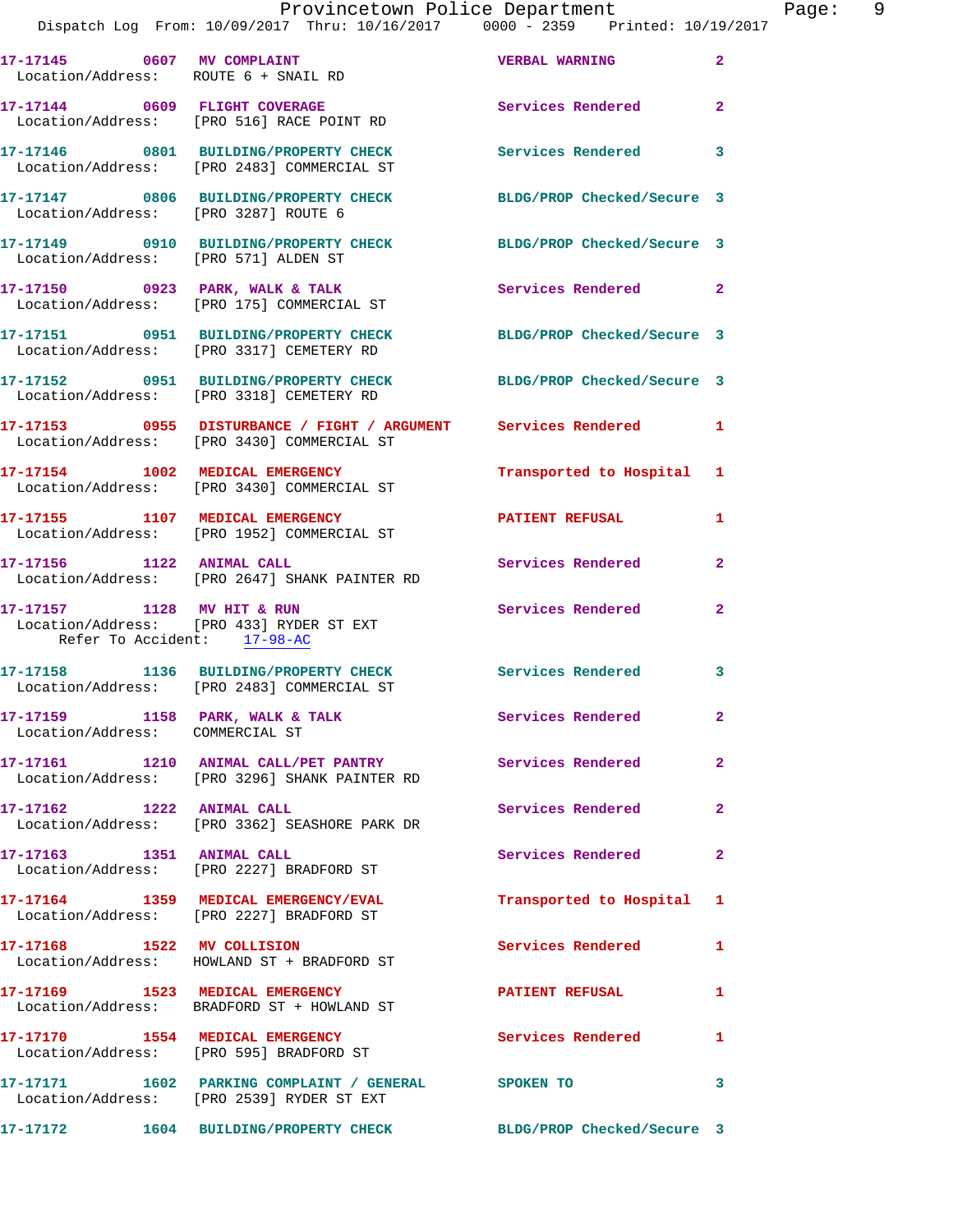|                                                           | 17-17145 0607 MV COMPLAINT<br>Location/Address: ROUTE 6 + SNAIL RD                                             | <b>VERBAL WARNING</b>      | $\mathbf{2}$            |
|-----------------------------------------------------------|----------------------------------------------------------------------------------------------------------------|----------------------------|-------------------------|
|                                                           | 17-17144 0609 FLIGHT COVERAGE<br>Location/Address: [PRO 516] RACE POINT RD                                     | Services Rendered 2        |                         |
|                                                           | 17-17146 0801 BUILDING/PROPERTY CHECK<br>Location/Address: [PRO 2483] COMMERCIAL ST                            | Services Rendered 3        |                         |
|                                                           | 17-17147 0806 BUILDING/PROPERTY CHECK<br>Location/Address: [PRO 3287] ROUTE 6                                  | BLDG/PROP Checked/Secure 3 |                         |
|                                                           | 17-17149 0910 BUILDING/PROPERTY CHECK<br>Location/Address: [PRO 571] ALDEN ST                                  | BLDG/PROP Checked/Secure 3 |                         |
|                                                           | 17-17150 0923 PARK, WALK & TALK<br>Location/Address: [PRO 175] COMMERCIAL ST                                   | Services Rendered 2        |                         |
|                                                           | 17-17151 0951 BUILDING/PROPERTY CHECK<br>Location/Address: [PRO 3317] CEMETERY RD                              | BLDG/PROP Checked/Secure 3 |                         |
|                                                           | 17-17152 0951 BUILDING/PROPERTY CHECK<br>Location/Address: [PRO 3318] CEMETERY RD                              | BLDG/PROP Checked/Secure 3 |                         |
|                                                           | 17-17153 0955 DISTURBANCE / FIGHT / ARGUMENT Services Rendered 1<br>Location/Address: [PRO 3430] COMMERCIAL ST |                            |                         |
|                                                           | 17-17154 1002 MEDICAL EMERGENCY<br>Location/Address: [PRO 3430] COMMERCIAL ST                                  | Transported to Hospital 1  |                         |
|                                                           | 17-17155 1107 MEDICAL EMERGENCY<br>Location/Address: [PRO 1952] COMMERCIAL ST                                  | <b>PATIENT REFUSAL</b>     | $\mathbf{1}$            |
|                                                           | 17-17156 1122 ANIMAL CALL<br>Location/Address: [PRO 2647] SHANK PAINTER RD                                     | Services Rendered          | $\mathbf{2}$            |
| 17-17157 1128 MV HIT & RUN<br>Refer To Accident: 17-98-AC | Location/Address: [PRO 433] RYDER ST EXT                                                                       | Services Rendered          | $\mathbf{2}$            |
|                                                           | 17-17158 1136 BUILDING/PROPERTY CHECK<br>Location/Address: [PRO 2483] COMMERCIAL ST                            | <b>Services Rendered</b>   | $\overline{\mathbf{3}}$ |
| Location/Address: COMMERCIAL ST                           | 17-17159 1158 PARK, WALK & TALK                                                                                | Services Rendered          | $\overline{\mathbf{2}}$ |
|                                                           | 17-17161 1210 ANIMAL CALL/PET PANTRY Services Rendered<br>Location/Address: [PRO 3296] SHANK PAINTER RD        |                            | $\mathbf{2}$            |
| 17-17162 1222 ANIMAL CALL                                 | Location/Address: [PRO 3362] SEASHORE PARK DR                                                                  | Services Rendered          | $\mathbf{2}$            |
| 17-17163 1351 ANIMAL CALL                                 | Location/Address: [PRO 2227] BRADFORD ST                                                                       | Services Rendered          | $\mathbf{2}$            |
|                                                           | 17-17164 1359 MEDICAL EMERGENCY/EVAL<br>Location/Address: [PRO 2227] BRADFORD ST                               | Transported to Hospital 1  |                         |
|                                                           | 17-17168 1522 MV COLLISION<br>Location/Address: HOWLAND ST + BRADFORD ST                                       | Services Rendered          | $\mathbf{1}$            |
|                                                           | 17-17169 1523 MEDICAL EMERGENCY<br>Location/Address: BRADFORD ST + HOWLAND ST                                  | <b>PATIENT REFUSAL</b>     | 1                       |
|                                                           | 17-17170 1554 MEDICAL EMERGENCY<br>Location/Address: [PRO 595] BRADFORD ST                                     | Services Rendered 1        |                         |
|                                                           | 17-17171 1602 PARKING COMPLAINT / GENERAL SPOKEN TO<br>Location/Address: [PRO 2539] RYDER ST EXT               |                            | 3                       |
|                                                           | 17-17172 1604 BUILDING/PROPERTY CHECK BLDG/PROP Checked/Secure 3                                               |                            |                         |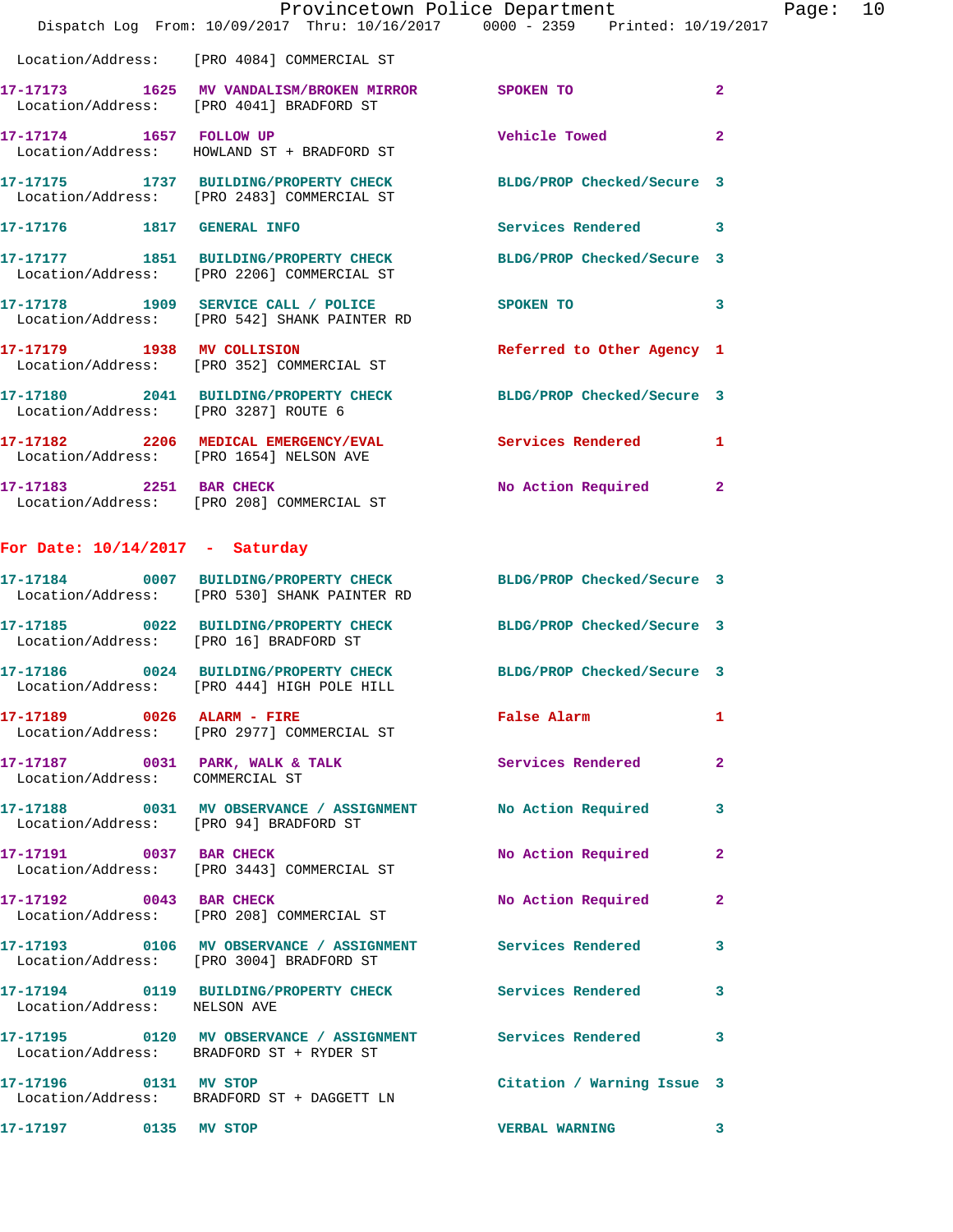|                                        |                                                                                     | Provincetown Police Department<br>Dispatch Log From: 10/09/2017 Thru: 10/16/2017 0000 - 2359 Printed: 10/19/2017 | Page: 10       |  |
|----------------------------------------|-------------------------------------------------------------------------------------|------------------------------------------------------------------------------------------------------------------|----------------|--|
|                                        | Location/Address: [PRO 4084] COMMERCIAL ST                                          |                                                                                                                  |                |  |
|                                        | Location/Address: [PRO 4041] BRADFORD ST                                            | 17-17173 1625 MV VANDALISM/BROKEN MIRROR SPOKEN TO                                                               | $\overline{2}$ |  |
|                                        | 17-17174 1657 FOLLOW UP<br>Location/Address: HOWLAND ST + BRADFORD ST               | Vehicle Towed                                                                                                    | $\mathbf{2}$   |  |
|                                        | Location/Address: [PRO 2483] COMMERCIAL ST                                          | 17-17175 1737 BUILDING/PROPERTY CHECK BLDG/PROP Checked/Secure 3                                                 |                |  |
|                                        |                                                                                     | Services Rendered 3                                                                                              |                |  |
|                                        | Location/Address: [PRO 2206] COMMERCIAL ST                                          | 17-17177 1851 BUILDING/PROPERTY CHECK BLDG/PROP Checked/Secure 3                                                 |                |  |
|                                        | 17-17178 1909 SERVICE CALL / POLICE<br>Location/Address: [PRO 542] SHANK PAINTER RD | SPOKEN TO                                                                                                        | 3              |  |
|                                        | 17-17179 1938 MV COLLISION<br>Location/Address: [PRO 352] COMMERCIAL ST             | Referred to Other Agency 1                                                                                       |                |  |
| Location/Address: [PRO 3287] ROUTE 6   |                                                                                     | 17-17180 2041 BUILDING/PROPERTY CHECK BLDG/PROP Checked/Secure 3                                                 |                |  |
|                                        | Location/Address: [PRO 1654] NELSON AVE                                             | 17-17182 2206 MEDICAL EMERGENCY/EVAL 2006 Services Rendered 1                                                    |                |  |
|                                        | 17-17183 2251 BAR CHECK<br>Location/Address: [PRO 208] COMMERCIAL ST                | No Action Required 2                                                                                             |                |  |
| For Date: $10/14/2017$ - Saturday      |                                                                                     |                                                                                                                  |                |  |
|                                        | Location/Address: [PRO 530] SHANK PAINTER RD                                        | 17-17184 0007 BUILDING/PROPERTY CHECK BLDG/PROP Checked/Secure 3                                                 |                |  |
| Location/Address: [PRO 16] BRADFORD ST |                                                                                     | 17-17185 0022 BUILDING/PROPERTY CHECK BLDG/PROP Checked/Secure 3                                                 |                |  |
|                                        | Location/Address: [PRO 444] HIGH POLE HILL                                          | 17-17186 0024 BUILDING/PROPERTY CHECK BLDG/PROP Checked/Secure 3                                                 |                |  |
|                                        | 17-17189 0026 ALARM - FIRE<br>Location/Address: [PRO 2977] COMMERCIAL ST            | False Alarm                                                                                                      | 1              |  |
| Location/Address: COMMERCIAL ST        |                                                                                     | 17-17187 0031 PARK, WALK & TALK Services Rendered 2                                                              |                |  |
|                                        | Location/Address: [PRO 94] BRADFORD ST                                              | 17-17188 0031 MV OBSERVANCE / ASSIGNMENT No Action Required 3                                                    |                |  |
|                                        | 17-17191 0037 BAR CHECK<br>Location/Address: [PRO 3443] COMMERCIAL ST               | No Action Required                                                                                               | 2              |  |
| 17-17192 0043 BAR CHECK                | Location/Address: [PRO 208] COMMERCIAL ST                                           | No Action Required 2                                                                                             |                |  |
|                                        | Location/Address: [PRO 3004] BRADFORD ST                                            | 17-17193 0106 MV OBSERVANCE / ASSIGNMENT Services Rendered                                                       | 3              |  |
| Location/Address: NELSON AVE           |                                                                                     | 17-17194 0119 BUILDING/PROPERTY CHECK Services Rendered                                                          | $\mathbf{3}$   |  |
|                                        | Location/Address: BRADFORD ST + RYDER ST                                            | 17-17195 0120 MV OBSERVANCE / ASSIGNMENT Services Rendered 3                                                     |                |  |
| 17-17196 0131 MV STOP                  | Location/Address: BRADFORD ST + DAGGETT LN                                          | Citation / Warning Issue 3                                                                                       |                |  |
| 17-17197 0135 MV STOP                  |                                                                                     | VERBAL WARNING 3                                                                                                 |                |  |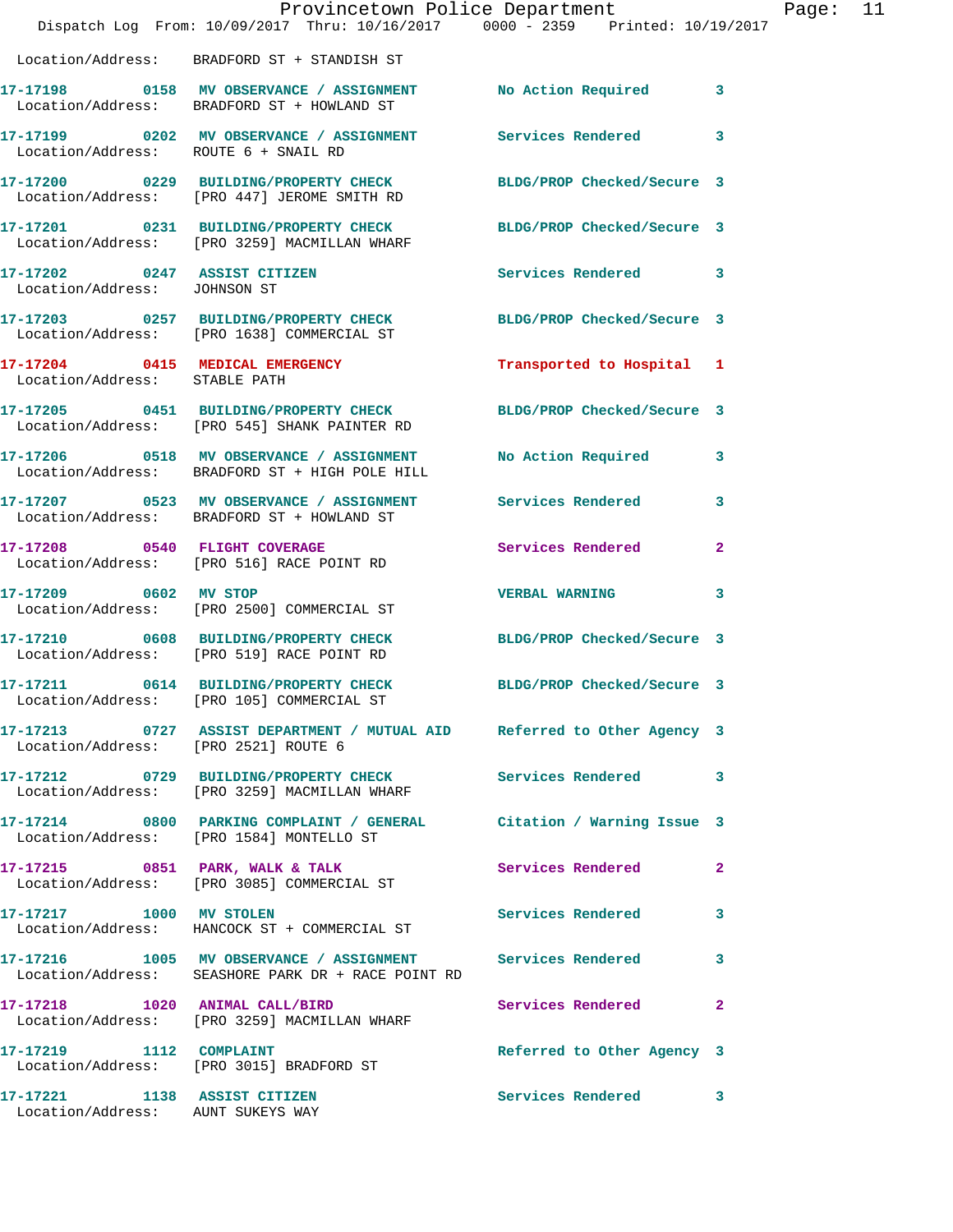|                                                                   | Dispatch Log From: 10/09/2017 Thru: 10/16/2017 0000 - 2359 Printed: 10/19/2017                                   | Provincetown Police Department |              | Page: | 11 |
|-------------------------------------------------------------------|------------------------------------------------------------------------------------------------------------------|--------------------------------|--------------|-------|----|
|                                                                   | Location/Address: BRADFORD ST + STANDISH ST                                                                      |                                |              |       |    |
|                                                                   |                                                                                                                  |                                |              |       |    |
| Location/Address: ROUTE 6 + SNAIL RD                              | 17-17199 0202 MV OBSERVANCE / ASSIGNMENT Services Rendered                                                       |                                | 3            |       |    |
|                                                                   | 17-17200 0229 BUILDING/PROPERTY CHECK<br>Location/Address: [PRO 447] JEROME SMITH RD                             | BLDG/PROP Checked/Secure 3     |              |       |    |
|                                                                   | 17-17201 0231 BUILDING/PROPERTY CHECK BLDG/PROP Checked/Secure 3<br>Location/Address: [PRO 3259] MACMILLAN WHARF |                                |              |       |    |
| 17-17202 0247 ASSIST CITIZEN<br>Location/Address: JOHNSON ST      |                                                                                                                  | Services Rendered 3            |              |       |    |
|                                                                   | 17-17203 0257 BUILDING/PROPERTY CHECK<br>Location/Address: [PRO 1638] COMMERCIAL ST                              | BLDG/PROP Checked/Secure 3     |              |       |    |
| Location/Address: STABLE PATH                                     | 17-17204 0415 MEDICAL EMERGENCY                                                                                  | Transported to Hospital 1      |              |       |    |
|                                                                   | 17-17205 0451 BUILDING/PROPERTY CHECK<br>Location/Address: [PRO 545] SHANK PAINTER RD                            | BLDG/PROP Checked/Secure 3     |              |       |    |
|                                                                   | 17-17206 0518 MV OBSERVANCE / ASSIGNMENT<br>Location/Address: BRADFORD ST + HIGH POLE HILL                       | No Action Required 3           |              |       |    |
|                                                                   | 17-17207 0523 MV OBSERVANCE / ASSIGNMENT Services Rendered<br>Location/Address: BRADFORD ST + HOWLAND ST         |                                | 3            |       |    |
|                                                                   | 17-17208 0540 FLIGHT COVERAGE<br>Location/Address: [PRO 516] RACE POINT RD                                       | Services Rendered              | $\mathbf{2}$ |       |    |
|                                                                   | 17-17209 0602 MV STOP<br>Location/Address: [PRO 2500] COMMERCIAL ST                                              | <b>VERBAL WARNING</b>          | 3            |       |    |
|                                                                   | 17-17210 0608 BUILDING/PROPERTY CHECK<br>Location/Address: [PRO 519] RACE POINT RD                               | BLDG/PROP Checked/Secure 3     |              |       |    |
|                                                                   | 17-17211 0614 BUILDING/PROPERTY CHECK BLDG/PROP Checked/Secure 3<br>Location/Address: [PRO 105] COMMERCIAL ST    |                                |              |       |    |
| Location/Address: [PRO 2521] ROUTE 6                              | 17-17213 0727 ASSIST DEPARTMENT / MUTUAL AID Referred to Other Agency 3                                          |                                |              |       |    |
|                                                                   | 17-17212 0729 BUILDING/PROPERTY CHECK Services Rendered<br>Location/Address: [PRO 3259] MACMILLAN WHARF          |                                | 3            |       |    |
|                                                                   | 17-17214 0800 PARKING COMPLAINT / GENERAL Citation / Warning Issue 3<br>Location/Address: [PRO 1584] MONTELLO ST |                                |              |       |    |
|                                                                   | 17-17215 0851 PARK, WALK & TALK<br>Location/Address: [PRO 3085] COMMERCIAL ST                                    | <b>Services Rendered</b>       | $\mathbf{2}$ |       |    |
| 17-17217 1000 MV STOLEN                                           | Location/Address: HANCOCK ST + COMMERCIAL ST                                                                     | Services Rendered              | 3            |       |    |
|                                                                   | 17-17216 1005 MV OBSERVANCE / ASSIGNMENT Services Rendered<br>Location/Address: SEASHORE PARK DR + RACE POINT RD |                                | 3            |       |    |
| 17-17218 1020 ANIMAL CALL/BIRD                                    | Location/Address: [PRO 3259] MACMILLAN WHARF                                                                     | Services Rendered              | $\mathbf{2}$ |       |    |
|                                                                   | 17-17219 1112 COMPLAINT<br>Location/Address: [PRO 3015] BRADFORD ST                                              | Referred to Other Agency 3     |              |       |    |
| 17-17221 1138 ASSIST CITIZEN<br>Location/Address: AUNT SUKEYS WAY |                                                                                                                  | Services Rendered              | 3            |       |    |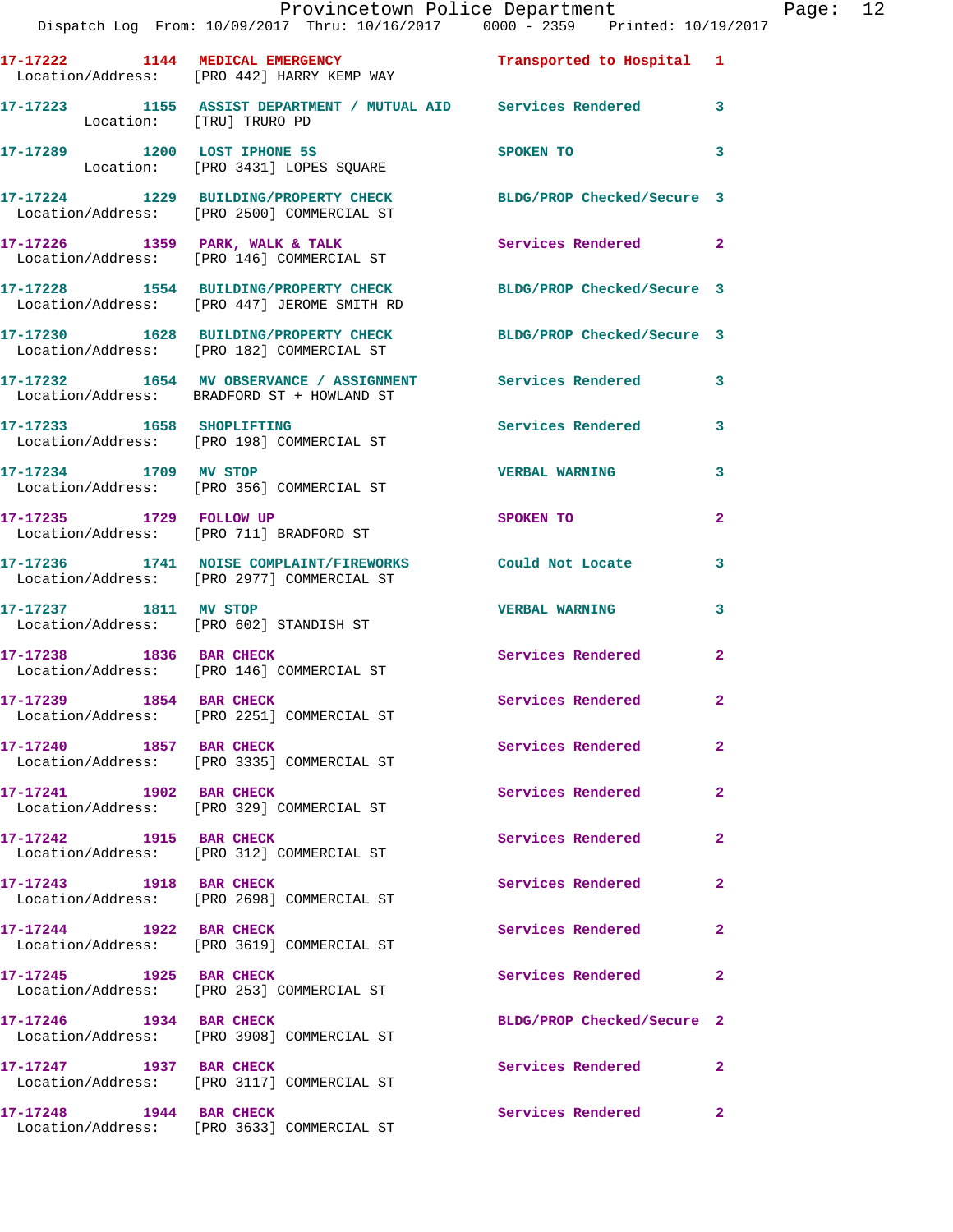|                          | Provincetown Police Department<br>Dispatch Log From: 10/09/2017 Thru: 10/16/2017 0000 - 2359 Printed: 10/19/2017           |                                                                                                                                                                                                                                |                | Page: 12 |  |
|--------------------------|----------------------------------------------------------------------------------------------------------------------------|--------------------------------------------------------------------------------------------------------------------------------------------------------------------------------------------------------------------------------|----------------|----------|--|
|                          | 17-17222 1144 MEDICAL EMERGENCY <b>12 Contains Transported</b> to Hospital 1<br>Location/Address: [PRO 442] HARRY KEMP WAY |                                                                                                                                                                                                                                |                |          |  |
| Location: [TRU] TRURO PD | 17-17223 1155 ASSIST DEPARTMENT / MUTUAL AID Services Rendered 3                                                           |                                                                                                                                                                                                                                |                |          |  |
|                          |                                                                                                                            | SPOKEN TO THE SPOKEN OF THE SPOKEN OF THE SPOKEN OF THE SPOKEN OF THE SPOKEN OF THE SPOKEN OF THE SPOKEN OF THE SPOKEN OF THE SPOKEN OF THE SPOKEN OF THE SPOKEN OF THE SPOKEN OF THE SPOKEN OF THE SPOKEN OF THE SPOKEN OF TH | 3              |          |  |
|                          | 17-17224 1229 BUILDING/PROPERTY CHECK BLDG/PROP Checked/Secure 3<br>Location/Address: [PRO 2500] COMMERCIAL ST             |                                                                                                                                                                                                                                |                |          |  |
|                          | 17-17226 1359 PARK, WALK & TALK<br>Location/Address: [PRO 146] COMMERCIAL ST                                               | Services Rendered 2                                                                                                                                                                                                            |                |          |  |
|                          | 17-17228 1554 BUILDING/PROPERTY CHECK BLDG/PROP Checked/Secure 3<br>Location/Address: [PRO 447] JEROME SMITH RD            |                                                                                                                                                                                                                                |                |          |  |
|                          | 17-17230 1628 BUILDING/PROPERTY CHECK BLDG/PROP Checked/Secure 3<br>Location/Address: [PRO 182] COMMERCIAL ST              |                                                                                                                                                                                                                                |                |          |  |
|                          | 17-17232 1654 MV OBSERVANCE / ASSIGNMENT Services Rendered 3<br>Location/Address: BRADFORD ST + HOWLAND ST                 |                                                                                                                                                                                                                                |                |          |  |
|                          | 17-17233 1658 SHOPLIFTING<br>Location/Address: [PRO 198] COMMERCIAL ST                                                     | Services Rendered 3                                                                                                                                                                                                            |                |          |  |
|                          | 17-17234 1709 MV STOP<br>Location/Address: [PRO 356] COMMERCIAL ST                                                         | <b>VERBAL WARNING</b>                                                                                                                                                                                                          | 3              |          |  |
| 17-17235 1729 FOLLOW UP  | Location/Address: [PRO 711] BRADFORD ST                                                                                    | SPOKEN TO                                                                                                                                                                                                                      | $\overline{2}$ |          |  |
|                          | 17-17236 1741 NOISE COMPLAINT/FIREWORKS Could Not Locate<br>Location/Address: [PRO 2977] COMMERCIAL ST                     |                                                                                                                                                                                                                                | 3              |          |  |
| 17-17237 1811 MV STOP    | Location/Address: [PRO 602] STANDISH ST                                                                                    | <b>VERBAL WARNING</b>                                                                                                                                                                                                          | 3              |          |  |
|                          | 17-17238 1836 BAR CHECK<br>Location/Address: [PRO 146] COMMERCIAL ST                                                       | Services Rendered 2                                                                                                                                                                                                            |                |          |  |
| 17-17239 1854 BAR CHECK  | Location/Address: [PRO 2251] COMMERCIAL ST                                                                                 | Services Rendered                                                                                                                                                                                                              |                |          |  |
| 17-17240 1857 BAR CHECK  | Location/Address: [PRO 3335] COMMERCIAL ST                                                                                 | Services Rendered                                                                                                                                                                                                              | $\overline{2}$ |          |  |
| 17-17241 1902 BAR CHECK  | Location/Address: [PRO 329] COMMERCIAL ST                                                                                  | Services Rendered                                                                                                                                                                                                              | $\mathbf{2}$   |          |  |
| 17-17242 1915 BAR CHECK  | Location/Address: [PRO 312] COMMERCIAL ST                                                                                  | Services Rendered                                                                                                                                                                                                              | $\mathbf{2}$   |          |  |
| 17-17243 1918 BAR CHECK  | Location/Address: [PRO 2698] COMMERCIAL ST                                                                                 | Services Rendered                                                                                                                                                                                                              | $\mathbf{2}$   |          |  |
|                          | 17-17244 1922 BAR CHECK<br>Location/Address: [PRO 3619] COMMERCIAL ST                                                      | Services Rendered                                                                                                                                                                                                              | $\mathbf{2}$   |          |  |
| 17-17245 1925 BAR CHECK  | Location/Address: [PRO 253] COMMERCIAL ST                                                                                  | Services Rendered                                                                                                                                                                                                              | $\mathbf{2}$   |          |  |
|                          | 17-17246 1934 BAR CHECK<br>Location/Address: [PRO 3908] COMMERCIAL ST                                                      | BLDG/PROP Checked/Secure 2                                                                                                                                                                                                     |                |          |  |
| 17-17247 1937 BAR CHECK  | Location/Address: [PRO 3117] COMMERCIAL ST                                                                                 | Services Rendered                                                                                                                                                                                                              | -2             |          |  |
|                          | 17-17248 1944 BAR CHECK<br>Location/Address: [PRO 3633] COMMERCIAL ST                                                      | Services Rendered                                                                                                                                                                                                              | $\mathbf{2}$   |          |  |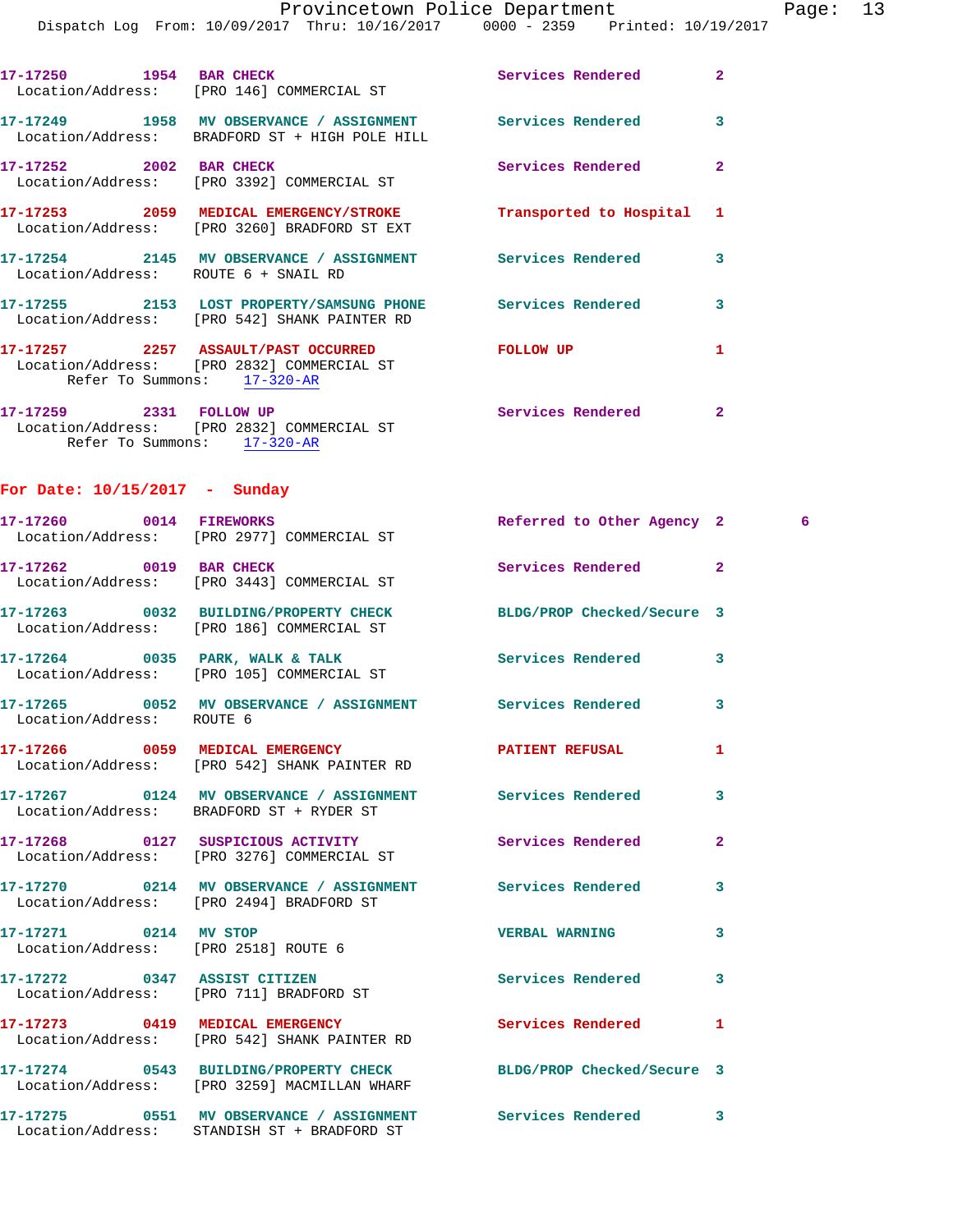|                                      | Dispatch Log From: 10/09/2017 Thru: 10/16/2017 0000 - 2359 Printed: 10/19/2017                                   | Provincetown Police Department |                | Page: 13 |  |
|--------------------------------------|------------------------------------------------------------------------------------------------------------------|--------------------------------|----------------|----------|--|
|                                      | 17-17250 1954 BAR CHECK<br>Location/Address: [PRO 146] COMMERCIAL ST                                             | Services Rendered 2            |                |          |  |
|                                      | 17-17249 1958 MV OBSERVANCE / ASSIGNMENT Services Rendered<br>Location/Address: BRADFORD ST + HIGH POLE HILL     |                                | 3              |          |  |
| 17-17252 2002 BAR CHECK              | Location/Address: [PRO 3392] COMMERCIAL ST                                                                       | Services Rendered              | $\overline{2}$ |          |  |
|                                      | 17-17253 2059 MEDICAL EMERGENCY/STROKE Transported to Hospital 1<br>Location/Address: [PRO 3260] BRADFORD ST EXT |                                |                |          |  |
| Location/Address: ROUTE 6 + SNAIL RD | 17-17254 2145 MV OBSERVANCE / ASSIGNMENT Services Rendered 3                                                     |                                |                |          |  |
|                                      | 17-17255 2153 LOST PROPERTY/SAMSUNG PHONE Services Rendered 3<br>Location/Address: [PRO 542] SHANK PAINTER RD    |                                |                |          |  |
| Refer To Summons: 17-320-AR          | 17-17257  2257  ASSAULT/PAST OCCURRED  FOLLOW UP<br>Location/Address: [PRO 2832] COMMERCIAL ST                   |                                | $\mathbf{1}$   |          |  |
| Refer To Summons: 17-320-AR          | 17-17259 2331 FOLLOW UP<br>Location/Address: [PRO 2832] COMMERCIAL ST                                            | Services Rendered              | $\overline{2}$ |          |  |
| For Date: $10/15/2017$ - Sunday      |                                                                                                                  |                                |                |          |  |
|                                      | 17-17260 0014 FIREWORKS<br>Location/Address: [PRO 2977] COMMERCIAL ST                                            | Referred to Other Agency 2 6   |                |          |  |
|                                      | 17-17262 0019 BAR CHECK<br>Location/Address: [PRO 3443] COMMERCIAL ST                                            | Services Rendered 2            |                |          |  |
|                                      | 17-17263 0032 BUILDING/PROPERTY CHECK BLDG/PROP Checked/Secure 3<br>Location/Address: [PRO 186] COMMERCIAL ST    |                                |                |          |  |
|                                      | 17-17264 0035 PARK, WALK & TALK 6 Services Rendered 3<br>Location/Address: [PRO 105] COMMERCIAL ST               |                                |                |          |  |
| Location/Address: ROUTE 6            | 17-17265 0052 MV OBSERVANCE / ASSIGNMENT Services Rendered                                                       |                                | 3              |          |  |

|                                                               | 17-17264 0035 PARK, WALK & TALK<br>Location/Address: [PRO 105] COMMERCIAL ST                           | <b>Services Rendered</b>   | $\overline{\mathbf{3}}$ |
|---------------------------------------------------------------|--------------------------------------------------------------------------------------------------------|----------------------------|-------------------------|
| Location/Address: ROUTE 6                                     | 17-17265 0052 MV OBSERVANCE / ASSIGNMENT Services Rendered                                             |                            | $\mathbf{3}$            |
|                                                               | 17-17266 0059 MEDICAL EMERGENCY<br>Location/Address: [PRO 542] SHANK PAINTER RD                        | <b>PATIENT REFUSAL</b>     | $\mathbf{1}$            |
|                                                               | Location/Address: BRADFORD ST + RYDER ST                                                               |                            | $\overline{\mathbf{3}}$ |
|                                                               | 17-17268  0127 SUSPICIOUS ACTIVITY<br>Location/Address: [PRO 3276] COMMERCIAL ST                       | <b>Services Rendered</b>   | $\overline{2}$          |
|                                                               | 17-17270 0214 MV OBSERVANCE / ASSIGNMENT Services Rendered<br>Location/Address: [PRO 2494] BRADFORD ST |                            | $\mathbf{3}$            |
| 17-17271 0214 MV STOP<br>Location/Address: [PRO 2518] ROUTE 6 |                                                                                                        | <b>VERBAL WARNING</b>      | 3                       |
| 17-17272 0347 ASSIST CITIZEN                                  | Location/Address: [PRO 711] BRADFORD ST                                                                | Services Rendered          | $\mathbf{3}$            |
|                                                               | 17-17273 0419 MEDICAL EMERGENCY<br>Location/Address: [PRO 542] SHANK PAINTER RD                        | <b>Services Rendered</b>   | $\mathbf{1}$            |
|                                                               | 17-17274 0543 BUILDING/PROPERTY CHECK<br>Location/Address: [PRO 3259] MACMILLAN WHARF                  | BLDG/PROP Checked/Secure 3 |                         |
|                                                               |                                                                                                        |                            |                         |

**17-17275 0551 MV OBSERVANCE / ASSIGNMENT Services Rendered 3**  Location/Address: STANDISH ST + BRADFORD ST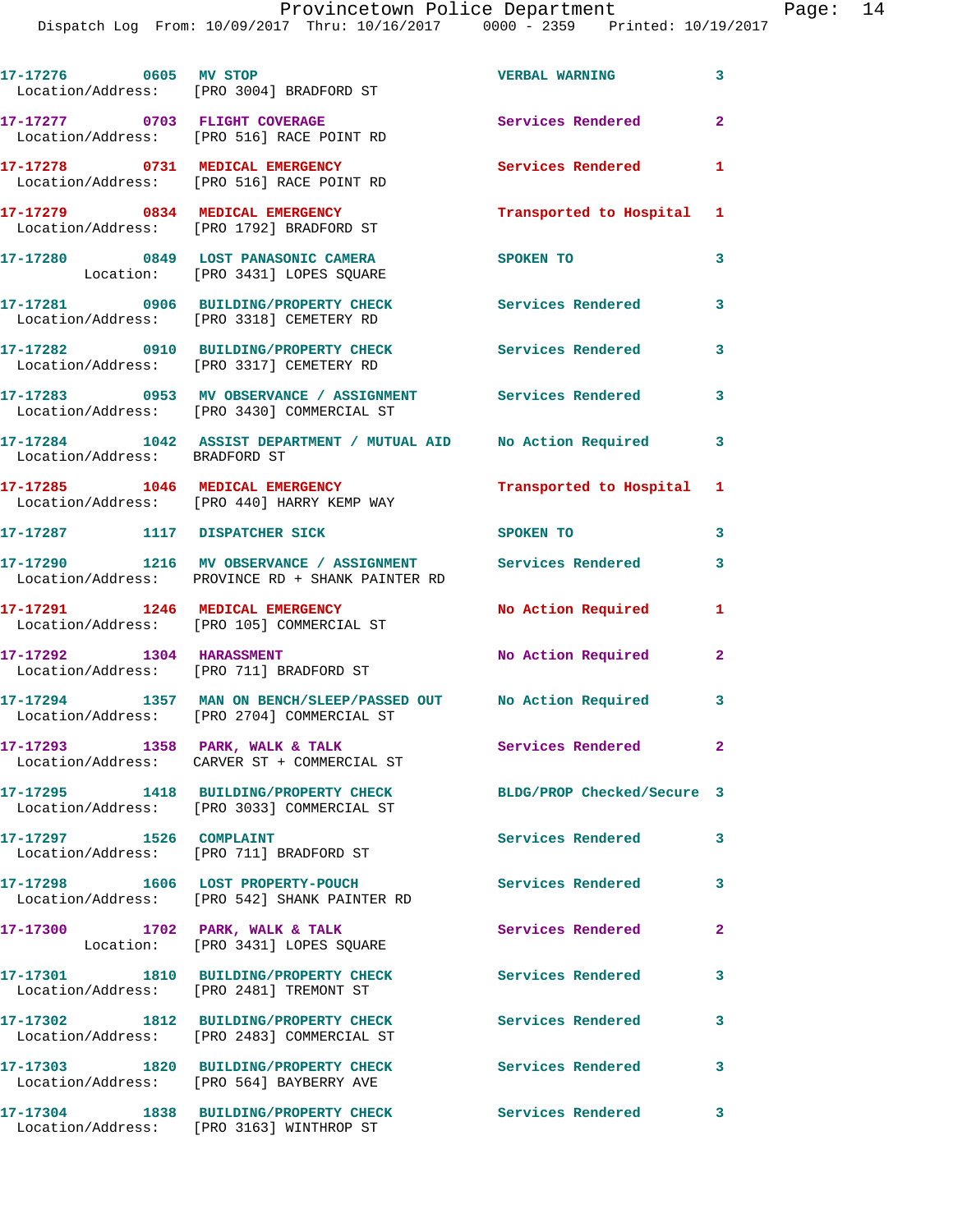| 17-17276 0605 MV STOP         | Location/Address: [PRO 3004] BRADFORD ST                                                                       | <b>VERBAL WARNING</b>      | $\overline{\mathbf{3}}$ |
|-------------------------------|----------------------------------------------------------------------------------------------------------------|----------------------------|-------------------------|
|                               | 17-17277 0703 FLIGHT COVERAGE<br>Location/Address: [PRO 516] RACE POINT RD                                     | <b>Services Rendered</b>   | $\overline{2}$          |
|                               | 17-17278 0731 MEDICAL EMERGENCY<br>Location/Address: [PRO 516] RACE POINT RD                                   | Services Rendered          | $\mathbf{1}$            |
|                               | 17-17279 0834 MEDICAL EMERGENCY<br>Location/Address: [PRO 1792] BRADFORD ST                                    | Transported to Hospital 1  |                         |
|                               | 17-17280 0849 LOST PANASONIC CAMERA<br>Location: [PRO 3431] LOPES SQUARE                                       | SPOKEN TO                  | 3                       |
|                               | 17-17281 0906 BUILDING/PROPERTY CHECK<br>Location/Address: [PRO 3318] CEMETERY RD                              | Services Rendered          | 3                       |
|                               | 17-17282 0910 BUILDING/PROPERTY CHECK<br>Location/Address: [PRO 3317] CEMETERY RD                              | <b>Services Rendered</b>   | 3                       |
|                               | 17-17283 0953 MV OBSERVANCE / ASSIGNMENT Services Rendered<br>Location/Address: [PRO 3430] COMMERCIAL ST       |                            | $\overline{\mathbf{3}}$ |
| Location/Address: BRADFORD ST | 17-17284 1042 ASSIST DEPARTMENT / MUTUAL AID No Action Required                                                |                            | 3                       |
|                               | 17-17285 1046 MEDICAL EMERGENCY<br>Location/Address: [PRO 440] HARRY KEMP WAY                                  | Transported to Hospital 1  |                         |
|                               | 17-17287 1117 DISPATCHER SICK                                                                                  | SPOKEN TO                  | 3                       |
|                               | 17-17290 1216 MV OBSERVANCE / ASSIGNMENT Services Rendered<br>Location/Address: PROVINCE RD + SHANK PAINTER RD |                            | 3                       |
|                               | 17-17291 1246 MEDICAL EMERGENCY<br>Location/Address: [PRO 105] COMMERCIAL ST                                   | No Action Required         | 1                       |
| 17-17292 1304 HARASSMENT      | Location/Address: [PRO 711] BRADFORD ST                                                                        | No Action Required         | $\mathbf{2}$            |
|                               | 17-17294 1357 MAN ON BENCH/SLEEP/PASSED OUT No Action Required<br>Location/Address: [PRO 2704] COMMERCIAL ST   |                            | 3                       |
|                               | 17-17293 1358 PARK, WALK & TALK<br>Location/Address: CARVER ST + COMMERCIAL ST                                 | Services Rendered          | $\mathbf{2}$            |
|                               | 17-17295 1418 BUILDING/PROPERTY CHECK<br>Location/Address: [PRO 3033] COMMERCIAL ST                            | BLDG/PROP Checked/Secure 3 |                         |
|                               | Location/Address: [PRO 711] BRADFORD ST                                                                        | Services Rendered          | 3                       |
|                               | 17-17298 1606 LOST PROPERTY-POUCH<br>Location/Address: [PRO 542] SHANK PAINTER RD                              | <b>Services Rendered</b>   | 3                       |
|                               | 17-17300 1702 PARK, WALK & TALK<br>Location: [PRO 3431] LOPES SQUARE                                           | Services Rendered          | $\overline{2}$          |
|                               | 17-17301 1810 BUILDING/PROPERTY CHECK<br>Location/Address: [PRO 2481] TREMONT ST                               | <b>Services Rendered</b>   | 3                       |
|                               | 17-17302 1812 BUILDING/PROPERTY CHECK<br>Location/Address: [PRO 2483] COMMERCIAL ST                            | <b>Services Rendered</b>   | 3                       |
|                               | 17-17303 1820 BUILDING/PROPERTY CHECK<br>Location/Address: [PRO 564] BAYBERRY AVE                              | <b>Services Rendered</b>   | 3                       |
|                               | 17-17304 1838 BUILDING/PROPERTY CHECK<br>Location/Address: [PRO 3163] WINTHROP ST                              | <b>Services Rendered</b>   | 3                       |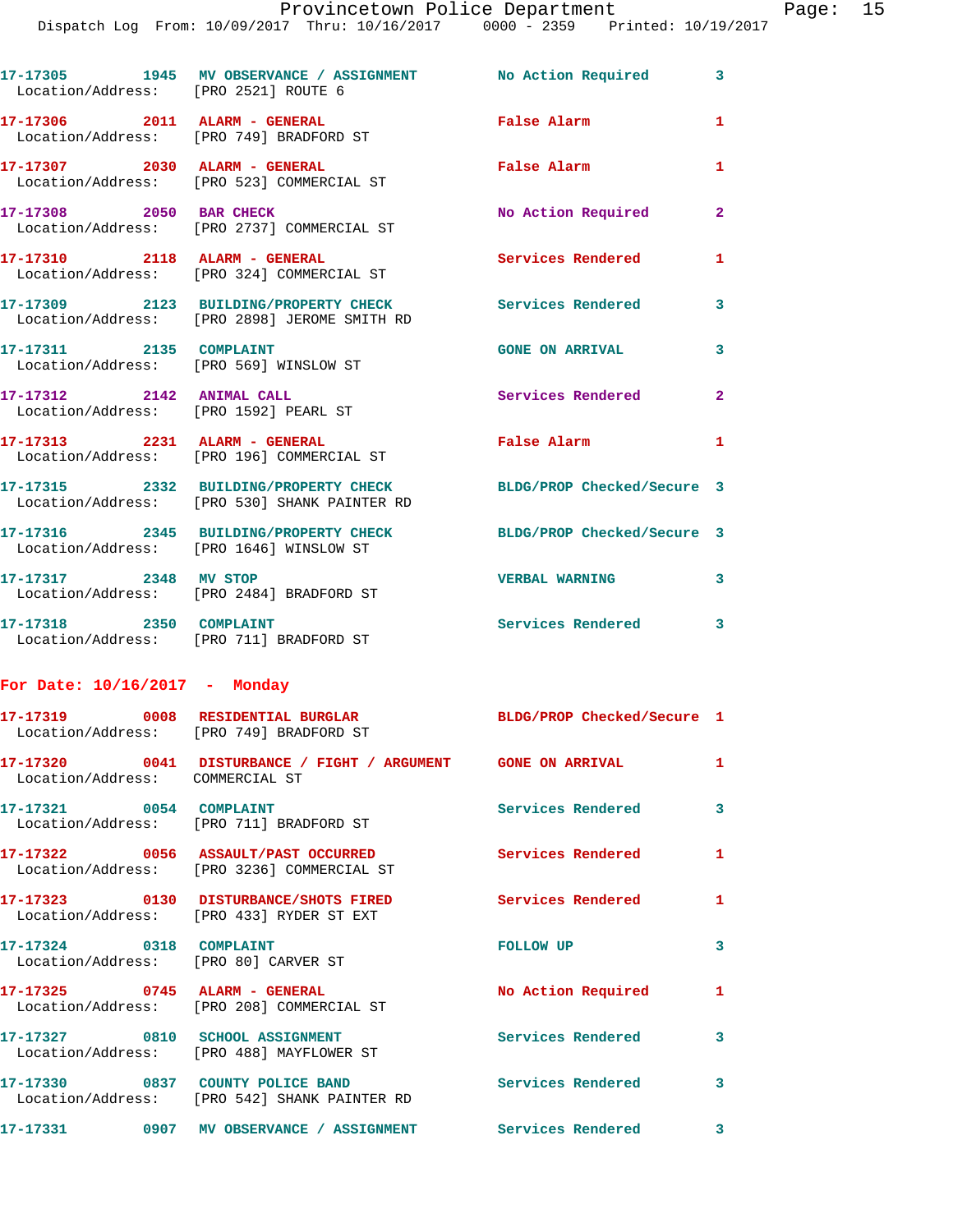| Location/Address: [PRO 2521] ROUTE 6                                         | 17-17305 1945 MV OBSERVANCE / ASSIGNMENT No Action Required 3                                                    |                            |                         |
|------------------------------------------------------------------------------|------------------------------------------------------------------------------------------------------------------|----------------------------|-------------------------|
| 17-17306 2011 ALARM - GENERAL                                                | Location/Address: [PRO 749] BRADFORD ST                                                                          | <b>False Alarm</b>         | $\mathbf{1}$            |
|                                                                              | 17-17307 2030 ALARM - GENERAL<br>Location/Address: [PRO 523] COMMERCIAL ST                                       | False Alarm                | $\mathbf{1}$            |
| 17-17308 2050 BAR CHECK                                                      | Location/Address: [PRO 2737] COMMERCIAL ST                                                                       | No Action Required         | $\mathbf{2}$            |
| 17-17310 2118 ALARM - GENERAL                                                | Location/Address: [PRO 324] COMMERCIAL ST                                                                        | Services Rendered          | $\mathbf{1}$            |
|                                                                              | 17-17309 2123 BUILDING/PROPERTY CHECK Services Rendered<br>Location/Address: [PRO 2898] JEROME SMITH RD          |                            | 3                       |
| 17-17311 2135 COMPLAINT                                                      | Location/Address: [PRO 569] WINSLOW ST                                                                           | <b>GONE ON ARRIVAL</b>     | 3                       |
| 17-17312 2142 ANIMAL CALL<br>Location/Address: [PRO 1592] PEARL ST           |                                                                                                                  | Services Rendered          | $\mathbf{2}$            |
| 17-17313 2231 ALARM - GENERAL                                                | Location/Address: [PRO 196] COMMERCIAL ST                                                                        | False Alarm                | $\mathbf{1}$            |
|                                                                              | 17-17315 2332 BUILDING/PROPERTY CHECK BLDG/PROP Checked/Secure 3<br>Location/Address: [PRO 530] SHANK PAINTER RD |                            |                         |
| Location/Address: [PRO 1646] WINSLOW ST                                      | 17-17316 2345 BUILDING/PROPERTY CHECK                                                                            | BLDG/PROP Checked/Secure 3 |                         |
| 17-17317 2348 MV STOP                                                        | Location/Address: [PRO 2484] BRADFORD ST                                                                         | <b>VERBAL WARNING</b>      | 3                       |
| 17-17318 2350 COMPLAINT                                                      | Location/Address: [PRO 711] BRADFORD ST                                                                          | Services Rendered 3        |                         |
| For Date: $10/16/2017$ - Monday                                              |                                                                                                                  |                            |                         |
| 17-17319 0008 RESIDENTIAL BURGLAR<br>Location/Address: [PRO 749] BRADFORD ST |                                                                                                                  | BLDG/PROP Checked/Secure 1 |                         |
| Location/Address: COMMERCIAL ST                                              | 17-17320 0041 DISTURBANCE / FIGHT / ARGUMENT GONE ON ARRIVAL                                                     |                            | $\mathbf{1}$            |
| 17-17321 0054 COMPLAINT                                                      | Location/Address: [PRO 711] BRADFORD ST                                                                          | Services Rendered          | $\overline{\mathbf{3}}$ |
|                                                                              | 17-17322 0056 ASSAULT/PAST OCCURRED<br>Location/Address: [PRO 3236] COMMERCIAL ST                                | <b>Services Rendered</b>   | $\mathbf{1}$            |
|                                                                              | 17-17323 0130 DISTURBANCE/SHOTS FIRED<br>Location/Address: [PRO 433] RYDER ST EXT                                | Services Rendered          | $\mathbf{1}$            |
| 17-17324 0318 COMPLAINT<br>Location/Address: [PRO 80] CARVER ST              |                                                                                                                  | FOLLOW UP                  | 3                       |
| 17-17325 0745 ALARM - GENERAL                                                | Location/Address: [PRO 208] COMMERCIAL ST                                                                        | No Action Required         | $\mathbf{1}$            |
|                                                                              | 17-17327 0810 SCHOOL ASSIGNMENT<br>Location/Address: [PRO 488] MAYFLOWER ST                                      | Services Rendered          | 3                       |
|                                                                              | 17-17330 0837 COUNTY POLICE BAND<br>Location/Address: [PRO 542] SHANK PAINTER RD                                 | Services Rendered          | 3                       |
|                                                                              | 17-17331 0907 MV OBSERVANCE / ASSIGNMENT                                                                         | Services Rendered          | 3                       |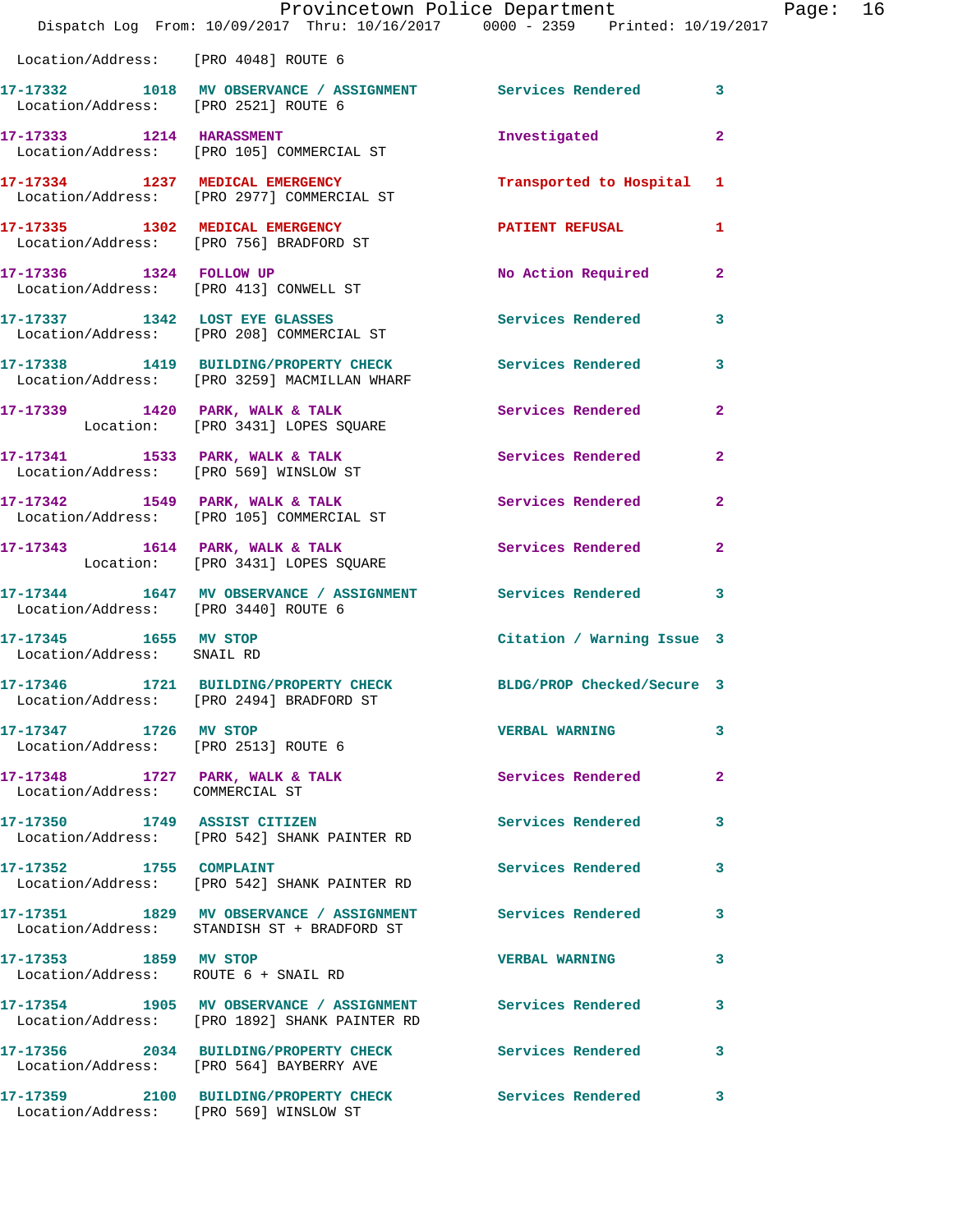|                                                                    | Dispatch Log From: 10/09/2017 Thru: 10/16/2017 0000 - 2359 Printed: 10/19/2017                               | Provincetown Police Department | Page: 16     |  |
|--------------------------------------------------------------------|--------------------------------------------------------------------------------------------------------------|--------------------------------|--------------|--|
| Location/Address: [PRO 4048] ROUTE 6                               |                                                                                                              |                                |              |  |
|                                                                    | 17-17332 1018 MV OBSERVANCE / ASSIGNMENT Services Rendered 3<br>Location/Address: [PRO 2521] ROUTE 6         |                                |              |  |
|                                                                    | 17-17333 1214 HARASSMENT<br>Location/Address: [PRO 105] COMMERCIAL ST                                        | Investigated                   | $\mathbf{2}$ |  |
|                                                                    | 17-17334 1237 MEDICAL EMERGENCY<br>Location/Address: [PRO 2977] COMMERCIAL ST                                | Transported to Hospital 1      |              |  |
|                                                                    | 17-17335 1302 MEDICAL EMERGENCY<br>Location/Address: [PRO 756] BRADFORD ST                                   | PATIENT REFUSAL 1              |              |  |
|                                                                    | 17-17336 1324 FOLLOW UP<br>Location/Address: [PRO 413] CONWELL ST                                            | No Action Required 2           |              |  |
|                                                                    | 17-17337 1342 LOST EYE GLASSES<br>Location/Address: [PRO 208] COMMERCIAL ST                                  | Services Rendered 3            |              |  |
|                                                                    | 17-17338 1419 BUILDING/PROPERTY CHECK Services Rendered 3<br>Location/Address: [PRO 3259] MACMILLAN WHARF    |                                |              |  |
|                                                                    | 17-17339 1420 PARK, WALK & TALK Services Rendered 2<br>Location: [PRO 3431] LOPES SQUARE                     |                                |              |  |
|                                                                    | 17-17341 1533 PARK, WALK & TALK 1999 Services Rendered<br>Location/Address: [PRO 569] WINSLOW ST             |                                | $\mathbf{2}$ |  |
|                                                                    | 17-17342 1549 PARK, WALK & TALK 1998 Services Rendered 2<br>Location/Address: [PRO 105] COMMERCIAL ST        |                                |              |  |
|                                                                    | 17-17343 1614 PARK, WALK & TALK Services Rendered 2<br>Location: [PRO 3431] LOPES SQUARE                     |                                |              |  |
| Location/Address: [PRO 3440] ROUTE 6                               | 17-17344 1647 MV OBSERVANCE / ASSIGNMENT Services Rendered 3                                                 |                                |              |  |
| 17-17345 1655 MV STOP<br>Location/Address: SNAIL RD                |                                                                                                              | Citation / Warning Issue 3     |              |  |
|                                                                    | 17-17346 1721 BUILDING/PROPERTY CHECK BLDG/PROP Checked/Secure 3<br>Location/Address: [PRO 2494] BRADFORD ST |                                |              |  |
| 17-17347 1726 MV STOP<br>Location/Address: [PRO 2513] ROUTE 6      |                                                                                                              | <b>VERBAL WARNING</b>          | 3            |  |
| 17-17348 1727 PARK, WALK & TALK<br>Location/Address: COMMERCIAL ST |                                                                                                              | <b>Services Rendered</b>       | $\mathbf{2}$ |  |
|                                                                    | 17-17350 1749 ASSIST CITIZEN<br>Location/Address: [PRO 542] SHANK PAINTER RD                                 | Services Rendered              | 3            |  |
| 17-17352 1755 COMPLAINT                                            | Location/Address: [PRO 542] SHANK PAINTER RD                                                                 | Services Rendered              | 3            |  |
|                                                                    | 17-17351 1829 MV OBSERVANCE / ASSIGNMENT Services Rendered<br>Location/Address: STANDISH ST + BRADFORD ST    |                                | 3            |  |
| 17-17353 1859 MV STOP<br>Location/Address: ROUTE 6 + SNAIL RD      |                                                                                                              | <b>VERBAL WARNING</b>          | 3            |  |
|                                                                    | 17-17354 1905 MV OBSERVANCE / ASSIGNMENT Services Rendered<br>Location/Address: [PRO 1892] SHANK PAINTER RD  |                                | 3            |  |
|                                                                    | 17-17356 2034 BUILDING/PROPERTY CHECK Services Rendered<br>Location/Address: [PRO 564] BAYBERRY AVE          |                                | 3            |  |
|                                                                    | 17-17359 2100 BUILDING/PROPERTY CHECK Services Rendered 3                                                    |                                |              |  |

Location/Address: [PRO 569] WINSLOW ST